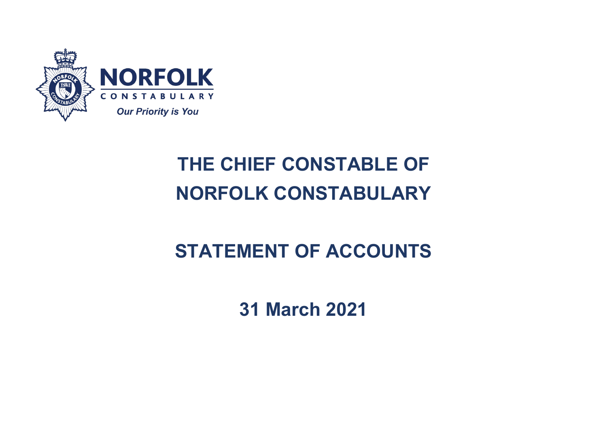

# **THE CHIEF CONSTABLE OF NORFOLK CONSTABULARY**

# **STATEMENT OF ACCOUNTS**

**31 March 2021**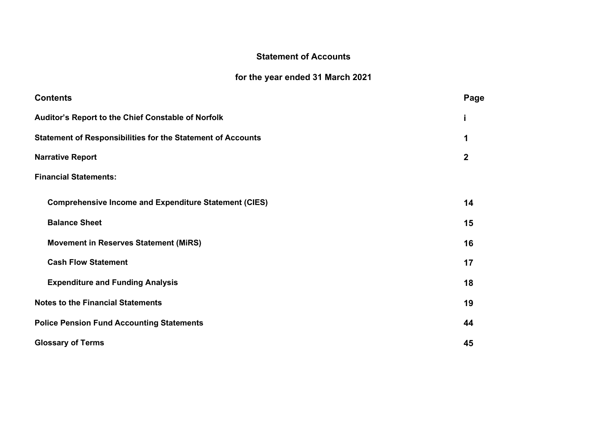# **Statement of Accounts**

# **for the year ended 31 March 2021**

| <b>Contents</b>                                                    | Page |  |  |
|--------------------------------------------------------------------|------|--|--|
| Auditor's Report to the Chief Constable of Norfolk                 |      |  |  |
| <b>Statement of Responsibilities for the Statement of Accounts</b> |      |  |  |
| <b>Narrative Report</b>                                            |      |  |  |
| <b>Financial Statements:</b>                                       |      |  |  |
| <b>Comprehensive Income and Expenditure Statement (CIES)</b>       | 14   |  |  |
| <b>Balance Sheet</b>                                               | 15   |  |  |
| <b>Movement in Reserves Statement (MiRS)</b>                       | 16   |  |  |
| <b>Cash Flow Statement</b>                                         | 17   |  |  |
| <b>Expenditure and Funding Analysis</b>                            | 18   |  |  |
| <b>Notes to the Financial Statements</b>                           | 19   |  |  |
| <b>Police Pension Fund Accounting Statements</b>                   |      |  |  |
| <b>Glossary of Terms</b>                                           | 45   |  |  |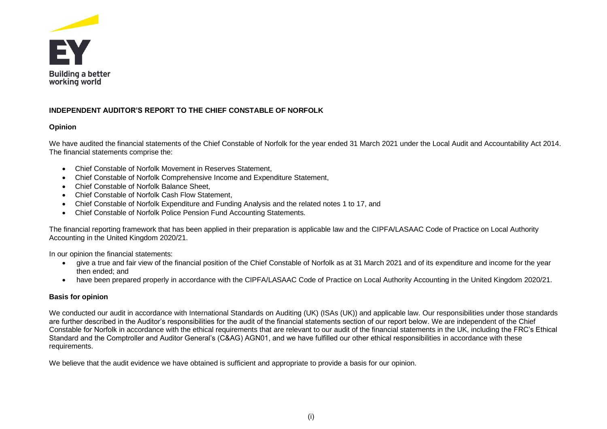

# **INDEPENDENT AUDITOR'S REPORT TO THE CHIEF CONSTABLE OF NORFOLK**

## **Opinion**

We have audited the financial statements of the Chief Constable of Norfolk for the year ended 31 March 2021 under the Local Audit and Accountability Act 2014. The financial statements comprise the:

- Chief Constable of Norfolk Movement in Reserves Statement,
- Chief Constable of Norfolk Comprehensive Income and Expenditure Statement,
- Chief Constable of Norfolk Balance Sheet,
- Chief Constable of Norfolk Cash Flow Statement,
- Chief Constable of Norfolk Expenditure and Funding Analysis and the related notes 1 to 17, and
- Chief Constable of Norfolk Police Pension Fund Accounting Statements.

The financial reporting framework that has been applied in their preparation is applicable law and the CIPFA/LASAAC Code of Practice on Local Authority Accounting in the United Kingdom 2020/21.

In our opinion the financial statements:

- give a true and fair view of the financial position of the Chief Constable of Norfolk as at 31 March 2021 and of its expenditure and income for the year then ended; and
- have been prepared properly in accordance with the CIPFA/LASAAC Code of Practice on Local Authority Accounting in the United Kingdom 2020/21.

# **Basis for opinion**

We conducted our audit in accordance with International Standards on Auditing (UK) (ISAs (UK)) and applicable law. Our responsibilities under those standards are further described in the Auditor's responsibilities for the audit of the financial statements section of our report below. We are independent of the Chief Constable for Norfolk in accordance with the ethical requirements that are relevant to our audit of the financial statements in the UK, including the FRC's Ethical Standard and the Comptroller and Auditor General's (C&AG) AGN01, and we have fulfilled our other ethical responsibilities in accordance with these requirements.

We believe that the audit evidence we have obtained is sufficient and appropriate to provide a basis for our opinion.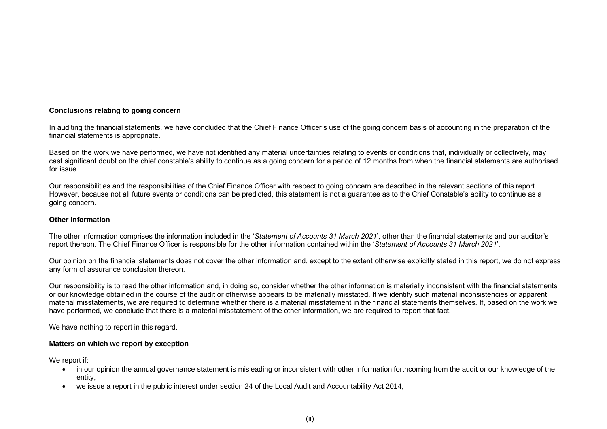## **Conclusions relating to going concern**

In auditing the financial statements, we have concluded that the Chief Finance Officer's use of the going concern basis of accounting in the preparation of the financial statements is appropriate.

Based on the work we have performed, we have not identified any material uncertainties relating to events or conditions that, individually or collectively, may cast significant doubt on the chief constable's ability to continue as a going concern for a period of 12 months from when the financial statements are authorised for issue.

Our responsibilities and the responsibilities of the Chief Finance Officer with respect to going concern are described in the relevant sections of this report. However, because not all future events or conditions can be predicted, this statement is not a guarantee as to the Chief Constable's ability to continue as a going concern.

#### **Other information**

The other information comprises the information included in the '*Statement of Accounts 31 March 2021*', other than the financial statements and our auditor's report thereon. The Chief Finance Officer is responsible for the other information contained within the '*Statement of Accounts 31 March 2021*'.

Our opinion on the financial statements does not cover the other information and, except to the extent otherwise explicitly stated in this report, we do not express any form of assurance conclusion thereon.

Our responsibility is to read the other information and, in doing so, consider whether the other information is materially inconsistent with the financial statements or our knowledge obtained in the course of the audit or otherwise appears to be materially misstated. If we identify such material inconsistencies or apparent material misstatements, we are required to determine whether there is a material misstatement in the financial statements themselves. If, based on the work we have performed, we conclude that there is a material misstatement of the other information, we are required to report that fact.

We have nothing to report in this regard.

#### **Matters on which we report by exception**

We report if:

- in our opinion the annual governance statement is misleading or inconsistent with other information forthcoming from the audit or our knowledge of the entity,
- we issue a report in the public interest under section 24 of the Local Audit and Accountability Act 2014,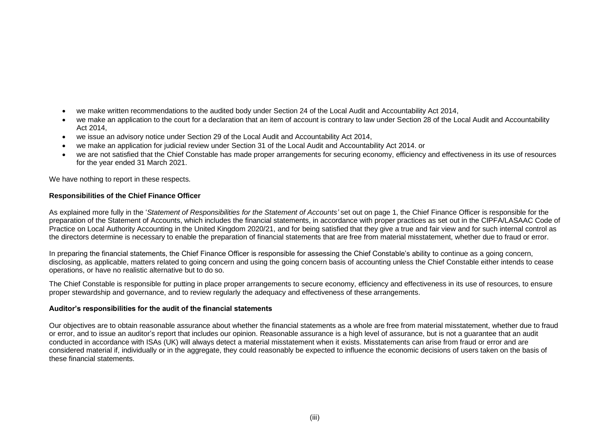- we make written recommendations to the audited body under Section 24 of the Local Audit and Accountability Act 2014,
- we make an application to the court for a declaration that an item of account is contrary to law under Section 28 of the Local Audit and Accountability Act 2014,
- we issue an advisory notice under Section 29 of the Local Audit and Accountability Act 2014,
- we make an application for judicial review under Section 31 of the Local Audit and Accountability Act 2014. or
- we are not satisfied that the Chief Constable has made proper arrangements for securing economy, efficiency and effectiveness in its use of resources for the year ended 31 March 2021.

We have nothing to report in these respects.

#### **Responsibilities of the Chief Finance Officer**

As explained more fully in the '*Statement of Responsibilities for the Statement of Accounts'* set out on page 1, the Chief Finance Officer is responsible for the preparation of the Statement of Accounts, which includes the financial statements, in accordance with proper practices as set out in the CIPFA/LASAAC Code of Practice on Local Authority Accounting in the United Kingdom 2020/21, and for being satisfied that they give a true and fair view and for such internal control as the directors determine is necessary to enable the preparation of financial statements that are free from material misstatement, whether due to fraud or error.

In preparing the financial statements, the Chief Finance Officer is responsible for assessing the Chief Constable's ability to continue as a going concern, disclosing, as applicable, matters related to going concern and using the going concern basis of accounting unless the Chief Constable either intends to cease operations, or have no realistic alternative but to do so.

The Chief Constable is responsible for putting in place proper arrangements to secure economy, efficiency and effectiveness in its use of resources, to ensure proper stewardship and governance, and to review regularly the adequacy and effectiveness of these arrangements.

#### **Auditor's responsibilities for the audit of the financial statements**

Our objectives are to obtain reasonable assurance about whether the financial statements as a whole are free from material misstatement, whether due to fraud or error, and to issue an auditor's report that includes our opinion. Reasonable assurance is a high level of assurance, but is not a guarantee that an audit conducted in accordance with ISAs (UK) will always detect a material misstatement when it exists. Misstatements can arise from fraud or error and are considered material if, individually or in the aggregate, they could reasonably be expected to influence the economic decisions of users taken on the basis of these financial statements.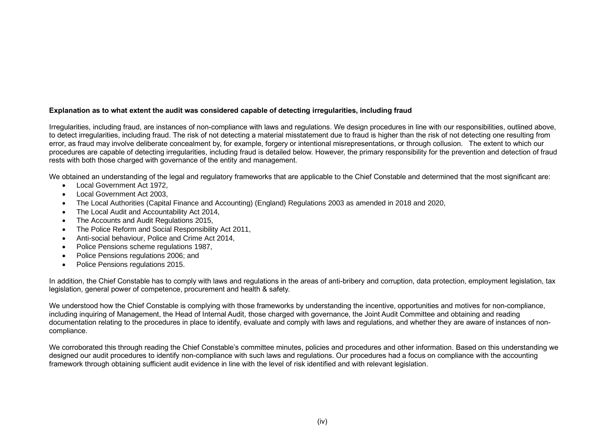# **Explanation as to what extent the audit was considered capable of detecting irregularities, including fraud**

Irregularities, including fraud, are instances of non-compliance with laws and regulations. We design procedures in line with our responsibilities, outlined above, to detect irregularities, including fraud. The risk of not detecting a material misstatement due to fraud is higher than the risk of not detecting one resulting from error, as fraud may involve deliberate concealment by, for example, forgery or intentional misrepresentations, or through collusion. The extent to which our procedures are capable of detecting irregularities, including fraud is detailed below. However, the primary responsibility for the prevention and detection of fraud rests with both those charged with governance of the entity and management.

We obtained an understanding of the legal and regulatory frameworks that are applicable to the Chief Constable and determined that the most significant are:

- Local Government Act 1972,
- Local Government Act 2003
- The Local Authorities (Capital Finance and Accounting) (England) Regulations 2003 as amended in 2018 and 2020,
- The Local Audit and Accountability Act 2014,
- The Accounts and Audit Regulations 2015,
- The Police Reform and Social Responsibility Act 2011,
- Anti-social behaviour, Police and Crime Act 2014,
- Police Pensions scheme regulations 1987,
- Police Pensions regulations 2006; and
- Police Pensions regulations 2015.

In addition, the Chief Constable has to comply with laws and regulations in the areas of anti-bribery and corruption, data protection, employment legislation, tax legislation, general power of competence, procurement and health & safety.

We understood how the Chief Constable is complying with those frameworks by understanding the incentive, opportunities and motives for non-compliance, including inquiring of Management, the Head of Internal Audit, those charged with governance, the Joint Audit Committee and obtaining and reading documentation relating to the procedures in place to identify, evaluate and comply with laws and regulations, and whether they are aware of instances of noncompliance.

We corroborated this through reading the Chief Constable's committee minutes, policies and procedures and other information. Based on this understanding we designed our audit procedures to identify non-compliance with such laws and regulations. Our procedures had a focus on compliance with the accounting framework through obtaining sufficient audit evidence in line with the level of risk identified and with relevant legislation.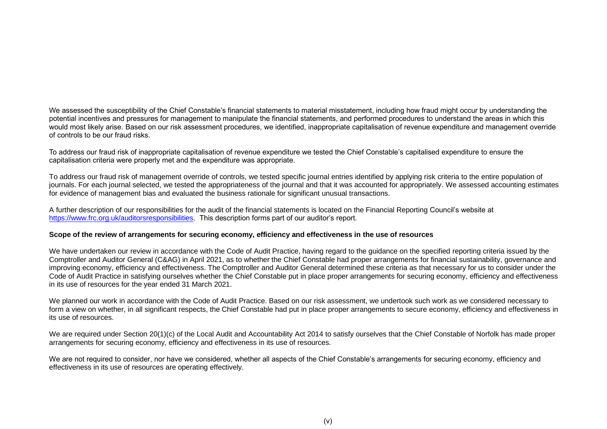We assessed the susceptibility of the Chief Constable's financial statements to material misstatement, including how fraud might occur by understanding the potential incentives and pressures for management to manipulate the financial statements, and performed procedures to understand the areas in which this would most likely arise. Based on our risk assessment procedures, we identified, inappropriate capitalisation of revenue expenditure and management override of controls to be our fraud risks.

To address our fraud risk of inappropriate capitalisation of revenue expenditure we tested the Chief Constable's capitalised expenditure to ensure the capitalisation criteria were properly met and the expenditure was appropriate.

To address our fraud risk of management override of controls, we tested specific journal entries identified by applying risk criteria to the entire population of journals. For each journal selected, we tested the appropriateness of the journal and that it was accounted for appropriately. We assessed accounting estimates for evidence of management bias and evaluated the business rationale for significant unusual transactions.

A further description of our responsibilities for the audit of the financial statements is located on the Financial Reporting Council's website at [https://www.frc.org.uk/auditorsresponsibilities.](https://www.frc.org.uk/auditorsresponsibilities) This description forms part of our auditor's report.

#### **Scope of the review of arrangements for securing economy, efficiency and effectiveness in the use of resources**

We have undertaken our review in accordance with the Code of Audit Practice, having regard to the guidance on the specified reporting criteria issued by the Comptroller and Auditor General (C&AG) in April 2021, as to whether the Chief Constable had proper arrangements for financial sustainability, governance and improving economy, efficiency and effectiveness. The Comptroller and Auditor General determined these criteria as that necessary for us to consider under the Code of Audit Practice in satisfying ourselves whether the Chief Constable put in place proper arrangements for securing economy, efficiency and effectiveness in its use of resources for the year ended 31 March 2021.

We planned our work in accordance with the Code of Audit Practice. Based on our risk assessment, we undertook such work as we considered necessary to form a view on whether, in all significant respects, the Chief Constable had put in place proper arrangements to secure economy, efficiency and effectiveness in its use of resources.

We are required under Section 20(1)(c) of the Local Audit and Accountability Act 2014 to satisfy ourselves that the Chief Constable of Norfolk has made proper arrangements for securing economy, efficiency and effectiveness in its use of resources.

We are not required to consider, nor have we considered, whether all aspects of the Chief Constable's arrangements for securing economy, efficiency and effectiveness in its use of resources are operating effectively.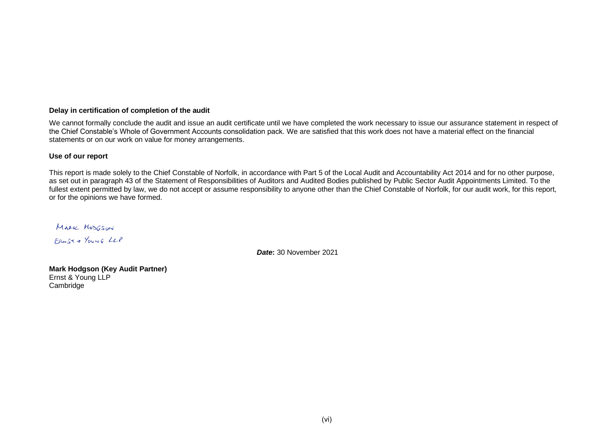#### **Delay in certification of completion of the audit**

We cannot formally conclude the audit and issue an audit certificate until we have completed the work necessary to issue our assurance statement in respect of the Chief Constable's Whole of Government Accounts consolidation pack. We are satisfied that this work does not have a material effect on the financial statements or on our work on value for money arrangements.

#### **Use of our report**

This report is made solely to the Chief Constable of Norfolk, in accordance with Part 5 of the Local Audit and Accountability Act 2014 and for no other purpose, as set out in paragraph 43 of the Statement of Responsibilities of Auditors and Audited Bodies published by Public Sector Audit Appointments Limited. To the fullest extent permitted by law, we do not accept or assume responsibility to anyone other than the Chief Constable of Norfolk, for our audit work, for this report, or for the opinions we have formed.

MARK MODESON FRNST & YOUNG LLP

*Date***:** 30 November 2021

**Mark Hodgson (Key Audit Partner)** Ernst & Young LLP **Cambridge**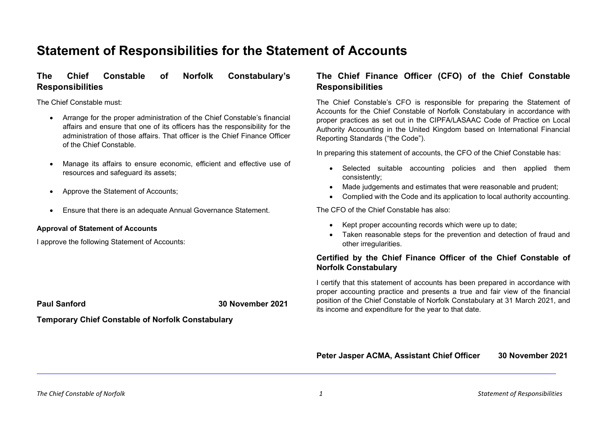# **Statement of Responsibilities for the Statement of Accounts**

# **The Chief Constable of Norfolk Constabulary's Responsibilities**

The Chief Constable must:

- Arrange for the proper administration of the Chief Constable's financial affairs and ensure that one of its officers has the responsibility for the administration of those affairs. That officer is the Chief Finance Officer of the Chief Constable.
- Manage its affairs to ensure economic, efficient and effective use of resources and safeguard its assets;
- Approve the Statement of Accounts;
- Ensure that there is an adequate Annual Governance Statement.

#### **Approval of Statement of Accounts**

I approve the following Statement of Accounts:

**Paul Sanford 30 November 2021**

**Temporary Chief Constable of Norfolk Constabulary**

# **The Chief Finance Officer (CFO) of the Chief Constable Responsibilities**

The Chief Constable's CFO is responsible for preparing the Statement of Accounts for the Chief Constable of Norfolk Constabulary in accordance with proper practices as set out in the CIPFA/LASAAC Code of Practice on Local Authority Accounting in the United Kingdom based on International Financial Reporting Standards ("the Code").

In preparing this statement of accounts, the CFO of the Chief Constable has:

- Selected suitable accounting policies and then applied them consistently;
- Made judgements and estimates that were reasonable and prudent;
- Complied with the Code and its application to local authority accounting.

The CFO of the Chief Constable has also:

- Kept proper accounting records which were up to date;
- Taken reasonable steps for the prevention and detection of fraud and other irregularities.

# **Certified by the Chief Finance Officer of the Chief Constable of Norfolk Constabulary**

I certify that this statement of accounts has been prepared in accordance with proper accounting practice and presents a true and fair view of the financial position of the Chief Constable of Norfolk Constabulary at 31 March 2021, and its income and expenditure for the year to that date.

**Peter Jasper ACMA, Assistant Chief Officer 30 November 2021**

*The Chief Constable of Norfolk 1 Statement of Responsibilities*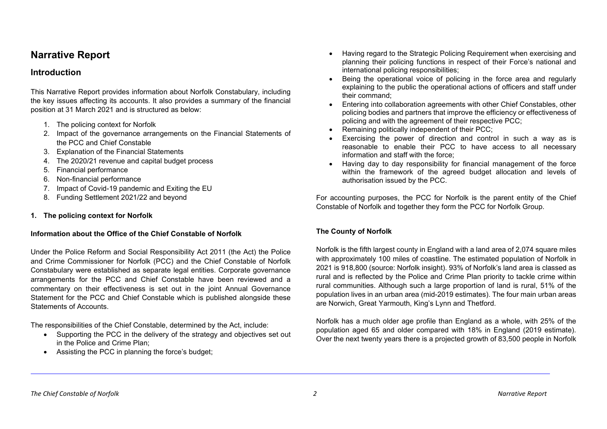# **Narrative Report**

# **Introduction**

This Narrative Report provides information about Norfolk Constabulary, including the key issues affecting its accounts. It also provides a summary of the financial position at 31 March 2021 and is structured as below:

- 1. The policing context for Norfolk
- 2. Impact of the governance arrangements on the Financial Statements of the PCC and Chief Constable
- 3. Explanation of the Financial Statements
- 4. The 2020/21 revenue and capital budget process
- 5. Financial performance
- 6. Non-financial performance
- 7. Impact of Covid-19 pandemic and Exiting the EU
- 8. Funding Settlement 2021/22 and beyond
- **1. The policing context for Norfolk**

# **Information about the Office of the Chief Constable of Norfolk**

Under the Police Reform and Social Responsibility Act 2011 (the Act) the Police and Crime Commissioner for Norfolk (PCC) and the Chief Constable of Norfolk Constabulary were established as separate legal entities. Corporate governance arrangements for the PCC and Chief Constable have been reviewed and a commentary on their effectiveness is set out in the joint Annual Governance Statement for the PCC and Chief Constable which is published alongside these Statements of Accounts.

The responsibilities of the Chief Constable, determined by the Act, include:

- Supporting the PCC in the delivery of the strategy and objectives set out in the Police and Crime Plan;
- Assisting the PCC in planning the force's budget;
- Having regard to the Strategic Policing Requirement when exercising and planning their policing functions in respect of their Force's national and international policing responsibilities;
- Being the operational voice of policing in the force area and regularly explaining to the public the operational actions of officers and staff under their command;
- Entering into collaboration agreements with other Chief Constables, other policing bodies and partners that improve the efficiency or effectiveness of policing and with the agreement of their respective PCC;
- Remaining politically independent of their PCC;
- Exercising the power of direction and control in such a way as is reasonable to enable their PCC to have access to all necessary information and staff with the force;
- Having day to day responsibility for financial management of the force within the framework of the agreed budget allocation and levels of authorisation issued by the PCC.

For accounting purposes, the PCC for Norfolk is the parent entity of the Chief Constable of Norfolk and together they form the PCC for Norfolk Group.

# **The County of Norfolk**

Norfolk is the fifth largest county in England with a land area of 2,074 square miles with approximately 100 miles of coastline. The estimated population of Norfolk in 2021 is 918,800 (source: Norfolk insight). 93% of Norfolk's land area is classed as rural and is reflected by the Police and Crime Plan priority to tackle crime within rural communities. Although such a large proportion of land is rural, 51% of the population lives in an urban area (mid-2019 estimates). The four main urban areas are Norwich, Great Yarmouth, King's Lynn and Thetford.

Norfolk has a much older age profile than England as a whole, with 25% of the population aged 65 and older compared with 18% in England (2019 estimate). Over the next twenty years there is a projected growth of 83,500 people in Norfolk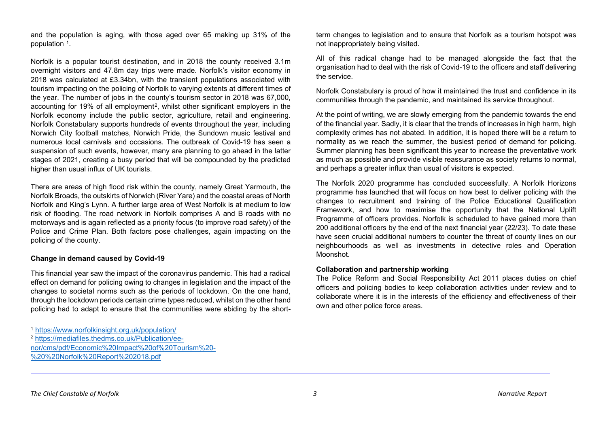and the population is aging, with those aged over 65 making up 31% of the population [1.](#page-10-0)

Norfolk is a popular tourist destination, and in 2018 the county received 3.1m overnight visitors and 47.8m day trips were made. Norfolk's visitor economy in 2018 was calculated at £3.34bn, with the transient populations associated with tourism impacting on the policing of Norfolk to varying extents at different times of the year. The number of jobs in the county's tourism sector in 2018 was 67,000, accounting for 19% of all employment<sup>[2](#page-10-1)</sup>, whilst other significant employers in the Norfolk economy include the public sector, agriculture, retail and engineering. Norfolk Constabulary supports hundreds of events throughout the year, including Norwich City football matches, Norwich Pride, the Sundown music festival and numerous local carnivals and occasions. The outbreak of Covid-19 has seen a suspension of such events, however, many are planning to go ahead in the latter stages of 2021, creating a busy period that will be compounded by the predicted higher than usual influx of UK tourists.

There are areas of high flood risk within the county, namely Great Yarmouth, the Norfolk Broads, the outskirts of Norwich (River Yare) and the coastal areas of North Norfolk and King's Lynn. A further large area of West Norfolk is at medium to low risk of flooding. The road network in Norfolk comprises A and B roads with no motorways and is again reflected as a priority focus (to improve road safety) of the Police and Crime Plan. Both factors pose challenges, again impacting on the policing of the county.

#### **Change in demand caused by Covid-19**

This financial year saw the impact of the coronavirus pandemic. This had a radical effect on demand for policing owing to changes in legislation and the impact of the changes to societal norms such as the periods of lockdown. On the one hand, through the lockdown periods certain crime types reduced, whilst on the other hand policing had to adapt to ensure that the communities were abiding by the short-

<sup>2</sup> [https://mediafiles.thedms.co.uk/Publication/ee-](https://mediafiles.thedms.co.uk/Publication/ee-nor/cms/pdf/Economic%20Impact%20of%20Tourism%20-%20%20Norfolk%20Report%202018.pdf)

[nor/cms/pdf/Economic%20Impact%20of%20Tourism%20-](https://mediafiles.thedms.co.uk/Publication/ee-nor/cms/pdf/Economic%20Impact%20of%20Tourism%20-%20%20Norfolk%20Report%202018.pdf) [%20%20Norfolk%20Report%202018.pdf](https://mediafiles.thedms.co.uk/Publication/ee-nor/cms/pdf/Economic%20Impact%20of%20Tourism%20-%20%20Norfolk%20Report%202018.pdf)

<span id="page-10-1"></span><span id="page-10-0"></span>term changes to legislation and to ensure that Norfolk as a tourism hotspot was not inappropriately being visited.

All of this radical change had to be managed alongside the fact that the organisation had to deal with the risk of Covid-19 to the officers and staff delivering the service.

Norfolk Constabulary is proud of how it maintained the trust and confidence in its communities through the pandemic, and maintained its service throughout.

At the point of writing, we are slowly emerging from the pandemic towards the end of the financial year. Sadly, it is clear that the trends of increases in high harm, high complexity crimes has not abated. In addition, it is hoped there will be a return to normality as we reach the summer, the busiest period of demand for policing. Summer planning has been significant this year to increase the preventative work as much as possible and provide visible reassurance as society returns to normal, and perhaps a greater influx than usual of visitors is expected.

The Norfolk 2020 programme has concluded successfully. A Norfolk Horizons programme has launched that will focus on how best to deliver policing with the changes to recruitment and training of the Police Educational Qualification Framework, and how to maximise the opportunity that the National Uplift Programme of officers provides. Norfolk is scheduled to have gained more than 200 additional officers by the end of the next financial year (22/23). To date these have seen crucial additional numbers to counter the threat of county lines on our neighbourhoods as well as investments in detective roles and Operation Moonshot.

#### **Collaboration and partnership working**

The Police Reform and Social Responsibility Act 2011 places duties on chief officers and policing bodies to keep collaboration activities under review and to collaborate where it is in the interests of the efficiency and effectiveness of their own and other police force areas.

<sup>1</sup> <https://www.norfolkinsight.org.uk/population/>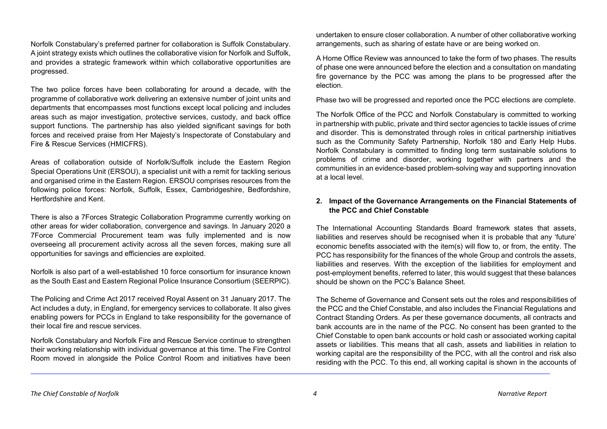Norfolk Constabulary's preferred partner for collaboration is Suffolk Constabulary. A joint strategy exists which outlines the collaborative vision for Norfolk and Suffolk, and provides a strategic framework within which collaborative opportunities are progressed.

The two police forces have been collaborating for around a decade, with the programme of collaborative work delivering an extensive number of joint units and departments that encompasses most functions except local policing and includes areas such as major investigation, protective services, custody, and back office support functions. The partnership has also yielded significant savings for both forces and received praise from Her Majesty's Inspectorate of Constabulary and Fire & Rescue Services (HMICFRS).

Areas of collaboration outside of Norfolk/Suffolk include the Eastern Region Special Operations Unit (ERSOU), a specialist unit with a remit for tackling serious and organised crime in the Eastern Region. ERSOU comprises resources from the following police forces: Norfolk, Suffolk, Essex, Cambridgeshire, Bedfordshire, Hertfordshire and Kent.

There is also a 7Forces Strategic Collaboration Programme currently working on other areas for wider collaboration, convergence and savings. In January 2020 a 7Force Commercial Procurement team was fully implemented and is now overseeing all procurement activity across all the seven forces, making sure all opportunities for savings and efficiencies are exploited.

Norfolk is also part of a well-established 10 force consortium for insurance known as the South East and Eastern Regional Police Insurance Consortium (SEERPIC).

The Policing and Crime Act 2017 received Royal Assent on 31 January 2017. The Act includes a duty, in England, for emergency services to collaborate. It also gives enabling powers for PCCs in England to take responsibility for the governance of their local fire and rescue services.

Norfolk Constabulary and Norfolk Fire and Rescue Service continue to strengthen their working relationship with individual governance at this time. The Fire Control Room moved in alongside the Police Control Room and initiatives have been undertaken to ensure closer collaboration. A number of other collaborative working arrangements, such as sharing of estate have or are being worked on.

A Home Office Review was announced to take the form of two phases. The results of phase one were announced before the election and a consultation on mandating fire governance by the PCC was among the plans to be progressed after the election.

Phase two will be progressed and reported once the PCC elections are complete.

The Norfolk Office of the PCC and Norfolk Constabulary is committed to working in partnership with public, private and third sector agencies to tackle issues of crime and disorder. This is demonstrated through roles in critical partnership initiatives such as the Community Safety Partnership, Norfolk 180 and Early Help Hubs. Norfolk Constabulary is committed to finding long term sustainable solutions to problems of crime and disorder, working together with partners and the communities in an evidence-based problem-solving way and supporting innovation at a local level.

# **2. Impact of the Governance Arrangements on the Financial Statements of the PCC and Chief Constable**

The International Accounting Standards Board framework states that assets, liabilities and reserves should be recognised when it is probable that any 'future' economic benefits associated with the item(s) will flow to, or from, the entity. The PCC has responsibility for the finances of the whole Group and controls the assets, liabilities and reserves. With the exception of the liabilities for employment and post-employment benefits, referred to later, this would suggest that these balances should be shown on the PCC's Balance Sheet.

The Scheme of Governance and Consent sets out the roles and responsibilities of the PCC and the Chief Constable, and also includes the Financial Regulations and Contract Standing Orders. As per these governance documents, all contracts and bank accounts are in the name of the PCC. No consent has been granted to the Chief Constable to open bank accounts or hold cash or associated working capital assets or liabilities. This means that all cash, assets and liabilities in relation to working capital are the responsibility of the PCC, with all the control and risk also residing with the PCC. To this end, all working capital is shown in the accounts of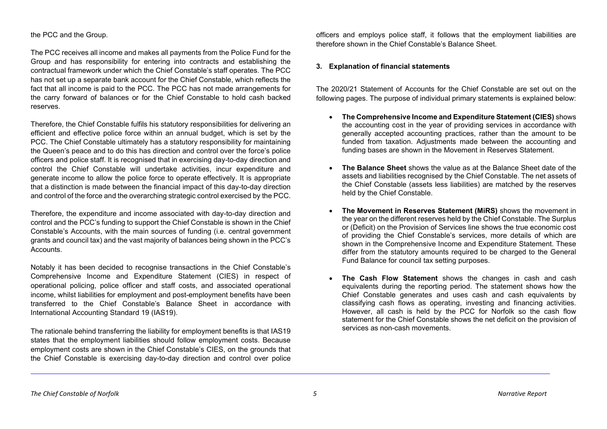## the PCC and the Group.

The PCC receives all income and makes all payments from the Police Fund for the Group and has responsibility for entering into contracts and establishing the contractual framework under which the Chief Constable's staff operates. The PCC has not set up a separate bank account for the Chief Constable, which reflects the fact that all income is paid to the PCC. The PCC has not made arrangements for the carry forward of balances or for the Chief Constable to hold cash backed reserves.

Therefore, the Chief Constable fulfils his statutory responsibilities for delivering an efficient and effective police force within an annual budget, which is set by the PCC. The Chief Constable ultimately has a statutory responsibility for maintaining the Queen's peace and to do this has direction and control over the force's police officers and police staff. It is recognised that in exercising day-to-day direction and control the Chief Constable will undertake activities, incur expenditure and generate income to allow the police force to operate effectively. It is appropriate that a distinction is made between the financial impact of this day-to-day direction and control of the force and the overarching strategic control exercised by the PCC.

Therefore, the expenditure and income associated with day-to-day direction and control and the PCC's funding to support the Chief Constable is shown in the Chief Constable's Accounts, with the main sources of funding (i.e. central government grants and council tax) and the vast majority of balances being shown in the PCC's **Accounts** 

Notably it has been decided to recognise transactions in the Chief Constable's Comprehensive Income and Expenditure Statement (CIES) in respect of operational policing, police officer and staff costs, and associated operational income, whilst liabilities for employment and post-employment benefits have been transferred to the Chief Constable's Balance Sheet in accordance with International Accounting Standard 19 (IAS19).

The rationale behind transferring the liability for employment benefits is that IAS19 states that the employment liabilities should follow employment costs. Because employment costs are shown in the Chief Constable's CIES, on the grounds that the Chief Constable is exercising day-to-day direction and control over police

officers and employs police staff, it follows that the employment liabilities are therefore shown in the Chief Constable's Balance Sheet.

# **3. Explanation of financial statements**

The 2020/21 Statement of Accounts for the Chief Constable are set out on the following pages. The purpose of individual primary statements is explained below:

- **The Comprehensive Income and Expenditure Statement (CIES)** shows the accounting cost in the year of providing services in accordance with generally accepted accounting practices, rather than the amount to be funded from taxation. Adjustments made between the accounting and funding bases are shown in the Movement in Reserves Statement.
- **The Balance Sheet** shows the value as at the Balance Sheet date of the assets and liabilities recognised by the Chief Constable. The net assets of the Chief Constable (assets less liabilities) are matched by the reserves held by the Chief Constable.
- **The Movement in Reserves Statement (MiRS)** shows the movement in the year on the different reserves held by the Chief Constable. The Surplus or (Deficit) on the Provision of Services line shows the true economic cost of providing the Chief Constable's services, more details of which are shown in the Comprehensive Income and Expenditure Statement. These differ from the statutory amounts required to be charged to the General Fund Balance for council tax setting purposes.
- **The Cash Flow Statement** shows the changes in cash and cash equivalents during the reporting period. The statement shows how the Chief Constable generates and uses cash and cash equivalents by classifying cash flows as operating, investing and financing activities. However, all cash is held by the PCC for Norfolk so the cash flow statement for the Chief Constable shows the net deficit on the provision of services as non-cash movements.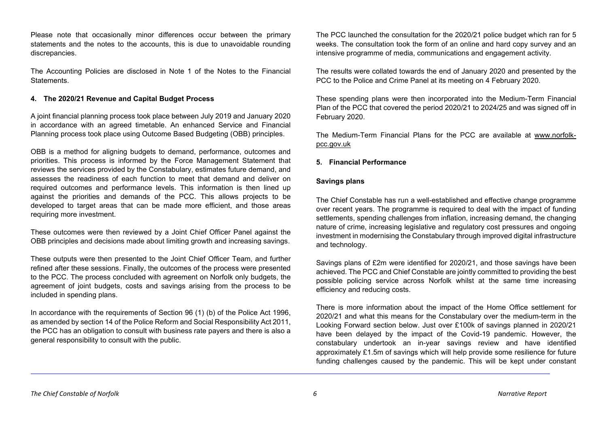Please note that occasionally minor differences occur between the primary statements and the notes to the accounts, this is due to unavoidable rounding discrepancies.

The Accounting Policies are disclosed in Note 1 of the Notes to the Financial Statements.

#### **4. The 2020/21 Revenue and Capital Budget Process**

A joint financial planning process took place between July 2019 and January 2020 in accordance with an agreed timetable. An enhanced Service and Financial Planning process took place using Outcome Based Budgeting (OBB) principles.

OBB is a method for aligning budgets to demand, performance, outcomes and priorities. This process is informed by the Force Management Statement that reviews the services provided by the Constabulary, estimates future demand, and assesses the readiness of each function to meet that demand and deliver on required outcomes and performance levels. This information is then lined up against the priorities and demands of the PCC. This allows projects to be developed to target areas that can be made more efficient, and those areas requiring more investment.

These outcomes were then reviewed by a Joint Chief Officer Panel against the OBB principles and decisions made about limiting growth and increasing savings.

These outputs were then presented to the Joint Chief Officer Team, and further refined after these sessions. Finally, the outcomes of the process were presented to the PCC. The process concluded with agreement on Norfolk only budgets, the agreement of joint budgets, costs and savings arising from the process to be included in spending plans.

In accordance with the requirements of Section 96 (1) (b) of the Police Act 1996, as amended by section 14 of the Police Reform and Social Responsibility Act 2011, the PCC has an obligation to consult with business rate payers and there is also a general responsibility to consult with the public.

The PCC launched the consultation for the 2020/21 police budget which ran for 5 weeks. The consultation took the form of an online and hard copy survey and an intensive programme of media, communications and engagement activity.

The results were collated towards the end of January 2020 and presented by the PCC to the Police and Crime Panel at its meeting on 4 February 2020.

These spending plans were then incorporated into the Medium-Term Financial Plan of the PCC that covered the period 2020/21 to 2024/25 and was signed off in February 2020.

The Medium-Term Financial Plans for the PCC are available at [www.norfolk](http://www.norfolk-pcc.gov.uk/)[pcc.gov.uk](http://www.norfolk-pcc.gov.uk/)

## **5. Financial Performance**

## **Savings plans**

The Chief Constable has run a well-established and effective change programme over recent years. The programme is required to deal with the impact of funding settlements, spending challenges from inflation, increasing demand, the changing nature of crime, increasing legislative and regulatory cost pressures and ongoing investment in modernising the Constabulary through improved digital infrastructure and technology.

Savings plans of £2m were identified for 2020/21, and those savings have been achieved. The PCC and Chief Constable are jointly committed to providing the best possible policing service across Norfolk whilst at the same time increasing efficiency and reducing costs.

There is more information about the impact of the Home Office settlement for 2020/21 and what this means for the Constabulary over the medium-term in the Looking Forward section below. Just over £100k of savings planned in 2020/21 have been delayed by the impact of the Covid-19 pandemic. However, the constabulary undertook an in-year savings review and have identified approximately £1.5m of savings which will help provide some resilience for future funding challenges caused by the pandemic. This will be kept under constant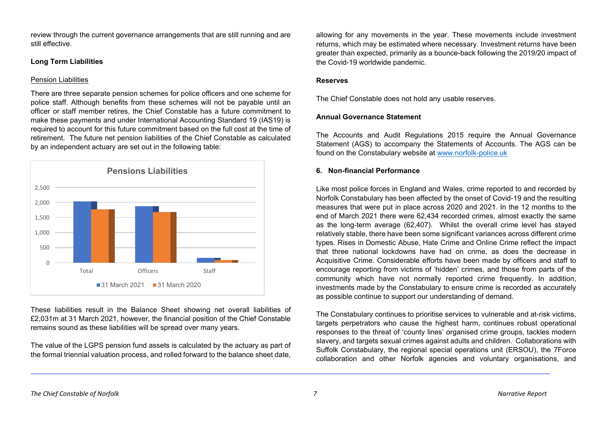review through the current governance arrangements that are still running and are still effective.

## **Long Term Liabilities**

# Pension Liabilities

There are three separate pension schemes for police officers and one scheme for police staff. Although benefits from these schemes will not be payable until an officer or staff member retires, the Chief Constable has a future commitment to make these payments and under International Accounting Standard 19 (IAS19) is required to account for this future commitment based on the full cost at the time of retirement. The future net pension liabilities of the Chief Constable as calculated by an independent actuary are set out in the following table:



These liabilities result in the Balance Sheet showing net overall liabilities of £2,031m at 31 March 2021, however, the financial position of the Chief Constable remains sound as these liabilities will be spread over many years.

The value of the LGPS pension fund assets is calculated by the actuary as part of the formal triennial valuation process, and rolled forward to the balance sheet date, allowing for any movements in the year. These movements include investment returns, which may be estimated where necessary. Investment returns have been greater than expected, primarily as a bounce-back following the 2019/20 impact of the Covid-19 worldwide pandemic.

# **Reserves**

The Chief Constable does not hold any usable reserves.

# **Annual Governance Statement**

The Accounts and Audit Regulations 2015 require the Annual Governance Statement (AGS) to accompany the Statements of Accounts. The AGS can be found on the Constabulary website at [www.norfolk-police.uk](http://www.norfolk-police.uk/)

# **6. Non-financial Performance**

Like most police forces in England and Wales, crime reported to and recorded by Norfolk Constabulary has been affected by the onset of Covid-19 and the resulting measures that were put in place across 2020 and 2021. In the 12 months to the end of March 2021 there were 62,434 recorded crimes, almost exactly the same as the long-term average (62,407). Whilst the overall crime level has stayed relatively stable, there have been some significant variances across different crime types. Rises in Domestic Abuse, Hate Crime and Online Crime reflect the impact that three national lockdowns have had on crime, as does the decrease in Acquisitive Crime. Considerable efforts have been made by officers and staff to encourage reporting from victims of 'hidden' crimes, and those from parts of the community which have not normally reported crime frequently. In addition, investments made by the Constabulary to ensure crime is recorded as accurately as possible continue to support our understanding of demand.

The Constabulary continues to prioritise services to vulnerable and at-risk victims, targets perpetrators who cause the highest harm, continues robust operational responses to the threat of 'county lines' organised crime groups, tackles modern slavery, and targets sexual crimes against adults and children. Collaborations with Suffolk Constabulary, the regional special operations unit (ERSOU), the 7Force collaboration and other Norfolk agencies and voluntary organisations, and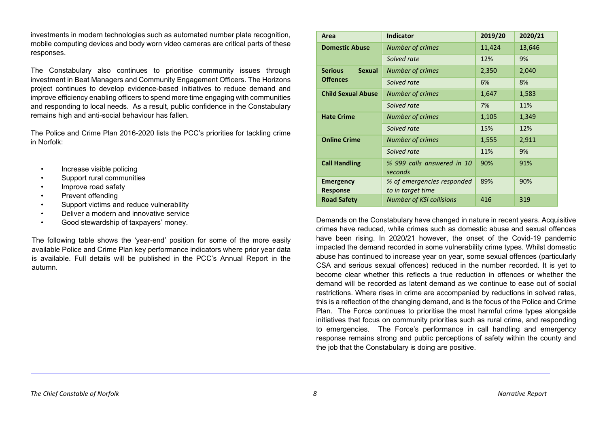investments in modern technologies such as automated number plate recognition, mobile computing devices and body worn video cameras are critical parts of these responses.

The Constabulary also continues to prioritise community issues through investment in Beat Managers and Community Engagement Officers. The Horizons project continues to develop evidence-based initiatives to reduce demand and improve efficiency enabling officers to spend more time engaging with communities and responding to local needs. As a result, public confidence in the Constabulary remains high and anti-social behaviour has fallen.

The Police and Crime Plan 2016-2020 lists the PCC's priorities for tackling crime in Norfolk:

- Increase visible policing
- Support rural communities
- Improve road safety
- Prevent offending
- Support victims and reduce vulnerability
- Deliver a modern and innovative service
- Good stewardship of taxpayers' money.

The following table shows the 'year-end' position for some of the more easily available Police and Crime Plan key performance indicators where prior year data is available. Full details will be published in the PCC's Annual Report in the autumn.

| Area                                | <b>Indicator</b>                                | 2019/20 | 2020/21 |
|-------------------------------------|-------------------------------------------------|---------|---------|
| <b>Domestic Abuse</b>               | <b>Number of crimes</b>                         | 11,424  | 13,646  |
|                                     | Solved rate                                     | 12%     | 9%      |
| <b>Serious</b><br><b>Sexual</b>     | <b>Number of crimes</b>                         | 2,350   | 2,040   |
| <b>Offences</b>                     | Solved rate                                     | 6%      | 8%      |
| <b>Child Sexual Abuse</b>           | <b>Number of crimes</b>                         | 1,647   | 1,583   |
|                                     | Solved rate                                     | 7%      | 11%     |
| <b>Hate Crime</b>                   | <b>Number of crimes</b>                         | 1,105   | 1,349   |
|                                     | Solved rate                                     | 15%     | 12%     |
| <b>Online Crime</b>                 | <b>Number of crimes</b>                         | 1,555   | 2,911   |
|                                     | Solved rate                                     | 11%     | 9%      |
| <b>Call Handling</b>                | % 999 calls answered in 10<br>seconds           | 90%     | 91%     |
| <b>Emergency</b><br><b>Response</b> | % of emergencies responded<br>to in target time | 89%     | 90%     |
| <b>Road Safety</b>                  | <b>Number of KSI collisions</b>                 | 416     | 319     |

Demands on the Constabulary have changed in nature in recent years. Acquisitive crimes have reduced, while crimes such as domestic abuse and sexual offences have been rising. In 2020/21 however, the onset of the Covid-19 pandemic impacted the demand recorded in some vulnerability crime types. Whilst domestic abuse has continued to increase year on year, some sexual offences (particularly CSA and serious sexual offences) reduced in the number recorded. It is yet to become clear whether this reflects a true reduction in offences or whether the demand will be recorded as latent demand as we continue to ease out of social restrictions. Where rises in crime are accompanied by reductions in solved rates, this is a reflection of the changing demand, and is the focus of the Police and Crime Plan. The Force continues to prioritise the most harmful crime types alongside initiatives that focus on community priorities such as rural crime, and responding to emergencies. The Force's performance in call handling and emergency response remains strong and public perceptions of safety within the county and the job that the Constabulary is doing are positive.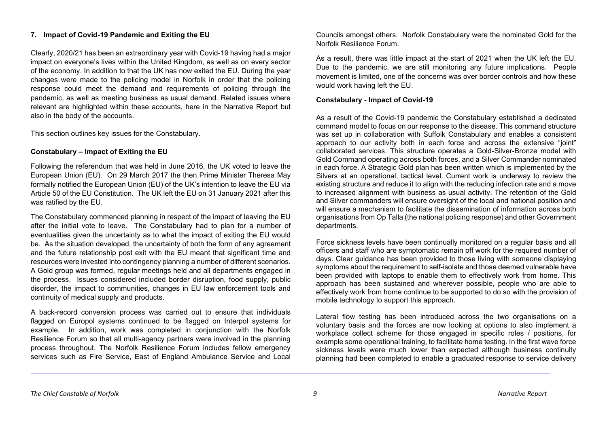## **7. Impact of Covid-19 Pandemic and Exiting the EU**

Clearly, 2020/21 has been an extraordinary year with Covid-19 having had a major impact on everyone's lives within the United Kingdom, as well as on every sector of the economy. In addition to that the UK has now exited the EU. During the year changes were made to the policing model in Norfolk in order that the policing response could meet the demand and requirements of policing through the pandemic, as well as meeting business as usual demand. Related issues where relevant are highlighted within these accounts, here in the Narrative Report but also in the body of the accounts.

This section outlines key issues for the Constabulary.

## **Constabulary – Impact of Exiting the EU**

Following the referendum that was held in June 2016, the UK voted to leave the European Union (EU). On 29 March 2017 the then Prime Minister Theresa May formally notified the European Union (EU) of the UK's intention to leave the EU via Article 50 of the EU Constitution. The UK left the EU on 31 January 2021 after this was ratified by the EU.

The Constabulary commenced planning in respect of the impact of leaving the EU after the initial vote to leave. The Constabulary had to plan for a number of eventualities given the uncertainty as to what the impact of exiting the EU would be. As the situation developed, the uncertainty of both the form of any agreement and the future relationship post exit with the EU meant that significant time and resources were invested into contingency planning a number of different scenarios. A Gold group was formed, regular meetings held and all departments engaged in the process. Issues considered included border disruption, food supply, public disorder, the impact to communities, changes in EU law enforcement tools and continuity of medical supply and products.

A back-record conversion process was carried out to ensure that individuals flagged on Europol systems continued to be flagged on Interpol systems for example. In addition, work was completed in conjunction with the Norfolk Resilience Forum so that all multi-agency partners were involved in the planning process throughout. The Norfolk Resilience Forum includes fellow emergency services such as Fire Service, East of England Ambulance Service and Local

Councils amongst others. Norfolk Constabulary were the nominated Gold for the Norfolk Resilience Forum.

As a result, there was little impact at the start of 2021 when the UK left the EU. Due to the pandemic, we are still monitoring any future implications. People movement is limited, one of the concerns was over border controls and how these would work having left the EU.

## **Constabulary - Impact of Covid-19**

As a result of the Covid-19 pandemic the Constabulary established a dedicated command model to focus on our response to the disease. This command structure was set up in collaboration with Suffolk Constabulary and enables a consistent approach to our activity both in each force and across the extensive "joint" collaborated services. This structure operates a Gold-Silver-Bronze model with Gold Command operating across both forces, and a Silver Commander nominated in each force. A Strategic Gold plan has been written which is implemented by the Silvers at an operational, tactical level. Current work is underway to review the existing structure and reduce it to align with the reducing infection rate and a move to increased alignment with business as usual activity. The retention of the Gold and Silver commanders will ensure oversight of the local and national position and will ensure a mechanism to facilitate the dissemination of information across both organisations from Op Talla (the national policing response) and other Government departments.

Force sickness levels have been continually monitored on a regular basis and all officers and staff who are symptomatic remain off work for the required number of days. Clear guidance has been provided to those living with someone displaying symptoms about the requirement to self-isolate and those deemed vulnerable have been provided with laptops to enable them to effectively work from home. This approach has been sustained and wherever possible, people who are able to effectively work from home continue to be supported to do so with the provision of mobile technology to support this approach.

Lateral flow testing has been introduced across the two organisations on a voluntary basis and the forces are now looking at options to also implement a workplace collect scheme for those engaged in specific roles / positions, for example some operational training, to facilitate home testing. In the first wave force sickness levels were much lower than expected although business continuity planning had been completed to enable a graduated response to service delivery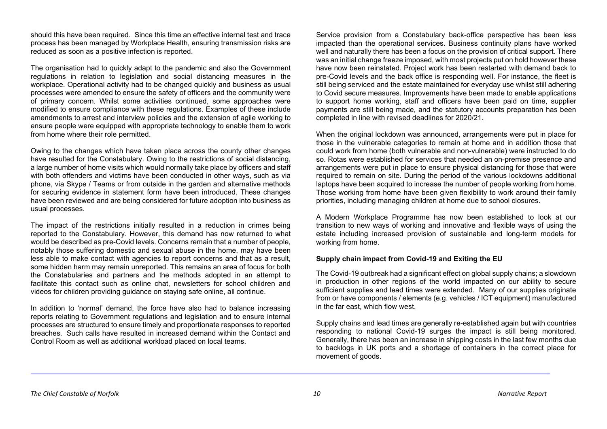should this have been required. Since this time an effective internal test and trace process has been managed by Workplace Health, ensuring transmission risks are reduced as soon as a positive infection is reported.

The organisation had to quickly adapt to the pandemic and also the Government regulations in relation to legislation and social distancing measures in the workplace. Operational activity had to be changed quickly and business as usual processes were amended to ensure the safety of officers and the community were of primary concern. Whilst some activities continued, some approaches were modified to ensure compliance with these regulations. Examples of these include amendments to arrest and interview policies and the extension of agile working to ensure people were equipped with appropriate technology to enable them to work from home where their role permitted.

Owing to the changes which have taken place across the county other changes have resulted for the Constabulary. Owing to the restrictions of social distancing, a large number of home visits which would normally take place by officers and staff with both offenders and victims have been conducted in other ways, such as via phone, via Skype / Teams or from outside in the garden and alternative methods for securing evidence in statement form have been introduced. These changes have been reviewed and are being considered for future adoption into business as usual processes.

The impact of the restrictions initially resulted in a reduction in crimes being reported to the Constabulary. However, this demand has now returned to what would be described as pre-Covid levels. Concerns remain that a number of people, notably those suffering domestic and sexual abuse in the home, may have been less able to make contact with agencies to report concerns and that as a result, some hidden harm may remain unreported. This remains an area of focus for both the Constabularies and partners and the methods adopted in an attempt to facilitate this contact such as online chat, newsletters for school children and videos for children providing guidance on staying safe online, all continue.

In addition to 'normal' demand, the force have also had to balance increasing reports relating to Government regulations and legislation and to ensure internal processes are structured to ensure timely and proportionate responses to reported breaches. Such calls have resulted in increased demand within the Contact and Control Room as well as additional workload placed on local teams.

Service provision from a Constabulary back-office perspective has been less impacted than the operational services. Business continuity plans have worked well and naturally there has been a focus on the provision of critical support. There was an initial change freeze imposed, with most projects put on hold however these have now been reinstated. Project work has been restarted with demand back to pre-Covid levels and the back office is responding well. For instance, the fleet is still being serviced and the estate maintained for everyday use whilst still adhering to Covid secure measures. Improvements have been made to enable applications to support home working, staff and officers have been paid on time, supplier payments are still being made, and the statutory accounts preparation has been completed in line with revised deadlines for 2020/21.

When the original lockdown was announced, arrangements were put in place for those in the vulnerable categories to remain at home and in addition those that could work from home (both vulnerable and non-vulnerable) were instructed to do so. Rotas were established for services that needed an on-premise presence and arrangements were put in place to ensure physical distancing for those that were required to remain on site. During the period of the various lockdowns additional laptops have been acquired to increase the number of people working from home. Those working from home have been given flexibility to work around their family priorities, including managing children at home due to school closures.

A Modern Workplace Programme has now been established to look at our transition to new ways of working and innovative and flexible ways of using the estate including increased provision of sustainable and long-term models for working from home.

#### **Supply chain impact from Covid-19 and Exiting the EU**

The Covid-19 outbreak had a significant effect on global supply chains; a slowdown in production in other regions of the world impacted on our ability to secure sufficient supplies and lead times were extended. Many of our supplies originate from or have components / elements (e.g. vehicles / ICT equipment) manufactured in the far east, which flow west.

Supply chains and lead times are generally re-established again but with countries responding to national Covid-19 surges the impact is still being monitored. Generally, there has been an increase in shipping costs in the last few months due to backlogs in UK ports and a shortage of containers in the correct place for movement of goods.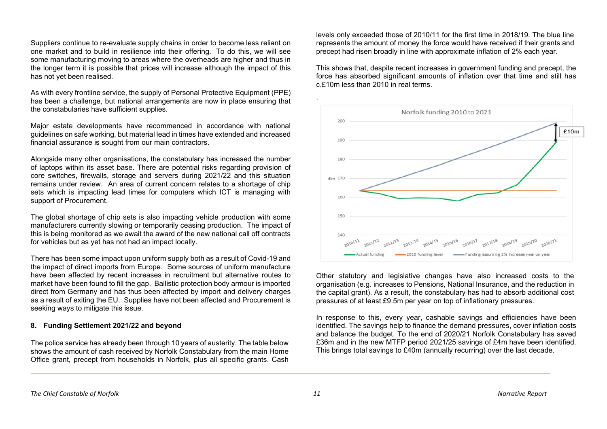Suppliers continue to re-evaluate supply chains in order to become less reliant on one market and to build in resilience into their offering. To do this, we will see some manufacturing moving to areas where the overheads are higher and thus in the longer term it is possible that prices will increase although the impact of this has not yet been realised.

As with every frontline service, the supply of Personal Protective Equipment (PPE) has been a challenge, but national arrangements are now in place ensuring that the constabularies have sufficient supplies.

Major estate developments have recommenced in accordance with national guidelines on safe working, but material lead in times have extended and increased financial assurance is sought from our main contractors.

Alongside many other organisations, the constabulary has increased the number of laptops within its asset base. There are potential risks regarding provision of core switches, firewalls, storage and servers during 2021/22 and this situation remains under review. An area of current concern relates to a shortage of chip sets which is impacting lead times for computers which ICT is managing with support of Procurement.

The global shortage of chip sets is also impacting vehicle production with some manufacturers currently slowing or temporarily ceasing production. The impact of this is being monitored as we await the award of the new national call off contracts for vehicles but as yet has not had an impact locally.

There has been some impact upon uniform supply both as a result of Covid-19 and the impact of direct imports from Europe. Some sources of uniform manufacture have been affected by recent increases in recruitment but alternative routes to market have been found to fill the gap. Ballistic protection body armour is imported direct from Germany and has thus been affected by import and delivery charges as a result of exiting the EU. Supplies have not been affected and Procurement is seeking ways to mitigate this issue.

#### **8. Funding Settlement 2021/22 and beyond**

The police service has already been through 10 years of austerity. The table below shows the amount of cash received by Norfolk Constabulary from the main Home Office grant, precept from households in Norfolk, plus all specific grants. Cash levels only exceeded those of 2010/11 for the first time in 2018/19. The blue line represents the amount of money the force would have received if their grants and precept had risen broadly in line with approximate inflation of 2% each year.

This shows that, despite recent increases in government funding and precept, the force has absorbed significant amounts of inflation over that time and still has c.£10m less than 2010 in real terms.



Other statutory and legislative changes have also increased costs to the organisation (e.g. increases to Pensions, National Insurance, and the reduction in the capital grant). As a result, the constabulary has had to absorb additional cost pressures of at least £9.5m per year on top of inflationary pressures.

In response to this, every year, cashable savings and efficiencies have been identified. The savings help to finance the demand pressures, cover inflation costs and balance the budget. To the end of 2020/21 Norfolk Constabulary has saved £36m and in the new MTFP period 2021/25 savings of £4m have been identified. This brings total savings to £40m (annually recurring) over the last decade.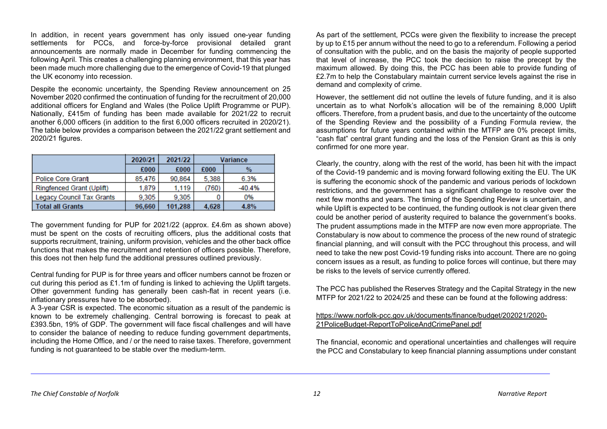In addition, in recent years government has only issued one-year funding settlements for PCCs, and force-by-force provisional detailed grant announcements are normally made in December for funding commencing the following April. This creates a challenging planning environment, that this year has been made much more challenging due to the emergence of Covid-19 that plunged the UK economy into recession.

Despite the economic uncertainty, the Spending Review announcement on 25 November 2020 confirmed the continuation of funding for the recruitment of 20,000 additional officers for England and Wales (the Police Uplift Programme or PUP). Nationally, £415m of funding has been made available for 2021/22 to recruit another 6,000 officers (in addition to the first 6,000 officers recruited in 2020/21). The table below provides a comparison between the 2021/22 grant settlement and 2020/21 figures.

|                           | 2020/21 | 2021/22 |       | Variance |
|---------------------------|---------|---------|-------|----------|
|                           | £000    | £000    | £000  | $\%$     |
| <b>Police Core Grant</b>  | 85.476  | 90.864  | 5.388 | 6.3%     |
| Ringfenced Grant (Uplift) | 1.879   | 1.119   | (760) | $-40.4%$ |
| Legacy Council Tax Grants | 9.305   | 9.305   |       | 0%       |
| <b>Total all Grants</b>   | 96,660  | 101.288 | 4.628 | 4.8%     |

The government funding for PUP for 2021/22 (approx. £4.6m as shown above) must be spent on the costs of recruiting officers, plus the additional costs that supports recruitment, training, uniform provision, vehicles and the other back office functions that makes the recruitment and retention of officers possible. Therefore, this does not then help fund the additional pressures outlined previously.

Central funding for PUP is for three years and officer numbers cannot be frozen or cut during this period as £1.1m of funding is linked to achieving the Uplift targets. Other government funding has generally been cash-flat in recent years (i.e. inflationary pressures have to be absorbed).

A 3-year CSR is expected. The economic situation as a result of the pandemic is known to be extremely challenging. Central borrowing is forecast to peak at £393.5bn, 19% of GDP. The government will face fiscal challenges and will have to consider the balance of needing to reduce funding government departments, including the Home Office, and / or the need to raise taxes. Therefore, government funding is not guaranteed to be stable over the medium-term.

As part of the settlement, PCCs were given the flexibility to increase the precept by up to £15 per annum without the need to go to a referendum. Following a period of consultation with the public, and on the basis the majority of people supported that level of increase, the PCC took the decision to raise the precept by the maximum allowed. By doing this, the PCC has been able to provide funding of £2.7m to help the Constabulary maintain current service levels against the rise in demand and complexity of crime.

However, the settlement did not outline the levels of future funding, and it is also uncertain as to what Norfolk's allocation will be of the remaining 8,000 Uplift officers. Therefore, from a prudent basis, and due to the uncertainty of the outcome of the Spending Review and the possibility of a Funding Formula review, the assumptions for future years contained within the MTFP are 0% precept limits, "cash flat" central grant funding and the loss of the Pension Grant as this is only confirmed for one more year.

Clearly, the country, along with the rest of the world, has been hit with the impact of the Covid-19 pandemic and is moving forward following exiting the EU. The UK is suffering the economic shock of the pandemic and various periods of lockdown restrictions, and the government has a significant challenge to resolve over the next few months and years. The timing of the Spending Review is uncertain, and while Uplift is expected to be continued, the funding outlook is not clear given there could be another period of austerity required to balance the government's books. The prudent assumptions made in the MTFP are now even more appropriate. The Constabulary is now about to commence the process of the new round of strategic financial planning, and will consult with the PCC throughout this process, and will need to take the new post Covid-19 funding risks into account. There are no going concern issues as a result, as funding to police forces will continue, but there may be risks to the levels of service currently offered.

The PCC has published the Reserves Strategy and the Capital Strategy in the new MTFP for 2021/22 to 2024/25 and these can be found at the following address:

[https://www.norfolk-pcc.gov.uk/documents/finance/budget/202021/2020-](https://www.norfolk-pcc.gov.uk/documents/finance/budget/202021/2020-21PoliceBudget-ReportToPoliceAndCrimePanel.pdf) [21PoliceBudget-ReportToPoliceAndCrimePanel.pdf](https://www.norfolk-pcc.gov.uk/documents/finance/budget/202021/2020-21PoliceBudget-ReportToPoliceAndCrimePanel.pdf)

The financial, economic and operational uncertainties and challenges will require the PCC and Constabulary to keep financial planning assumptions under constant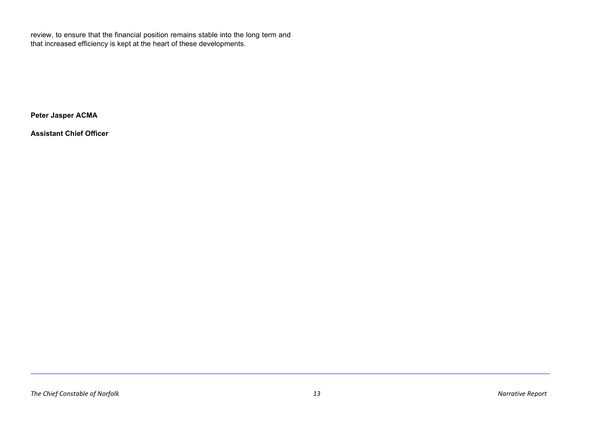review, to ensure that the financial position remains stable into the long term and that increased efficiency is kept at the heart of these developments.

**Peter Jasper ACMA**

**Assistant Chief Officer**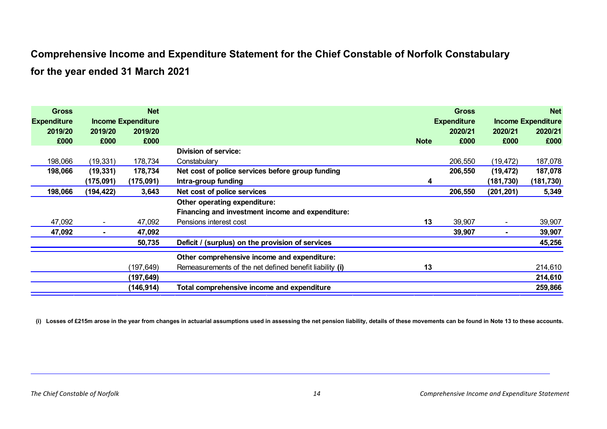# **Comprehensive Income and Expenditure Statement for the Chief Constable of Norfolk Constabulary**

**for the year ended 31 March 2021**

| <b>Gross</b><br><b>Expenditure</b> |                | <b>Net</b><br><b>Income Expenditure</b> |                                                         |             | <b>Gross</b><br><b>Expenditure</b> |            | <b>Net</b><br><b>Income Expenditure</b> |
|------------------------------------|----------------|-----------------------------------------|---------------------------------------------------------|-------------|------------------------------------|------------|-----------------------------------------|
| 2019/20                            | 2019/20        | 2019/20                                 |                                                         |             | 2020/21                            | 2020/21    | 2020/21                                 |
| £000                               | £000           | £000                                    |                                                         | <b>Note</b> | £000                               | £000       | £000                                    |
|                                    |                |                                         | Division of service:                                    |             |                                    |            |                                         |
| 198,066                            | (19, 331)      | 178,734                                 | Constabulary                                            |             | 206,550                            | (19, 472)  | 187,078                                 |
| 198,066                            | (19, 331)      | 178,734                                 | Net cost of police services before group funding        |             | 206,550                            | (19, 472)  | 187,078                                 |
|                                    | (175,091)      | (175,091)                               | Intra-group funding                                     | 4           |                                    | (181, 730) | (181, 730)                              |
| 198,066                            | (194, 422)     | 3,643                                   | Net cost of police services                             |             | 206,550                            | (201, 201) | 5,349                                   |
|                                    |                |                                         | Other operating expenditure:                            |             |                                    |            |                                         |
|                                    |                |                                         | Financing and investment income and expenditure:        |             |                                    |            |                                         |
| 47,092                             | $\blacksquare$ | 47,092                                  | Pensions interest cost                                  | 13          | 39,907                             |            | 39,907                                  |
| 47,092                             | ۰              | 47,092                                  |                                                         |             | 39,907                             |            | 39,907                                  |
|                                    |                | 50,735                                  | Deficit / (surplus) on the provision of services        |             |                                    |            | 45,256                                  |
|                                    |                |                                         | Other comprehensive income and expenditure:             |             |                                    |            |                                         |
|                                    |                | (197,649)                               | Remeasurements of the net defined benefit liability (i) | 13          |                                    |            | 214,610                                 |
|                                    |                | (197,649)                               |                                                         |             |                                    |            | 214,610                                 |
|                                    |                | (146,914)                               | Total comprehensive income and expenditure              |             |                                    |            | 259,866                                 |

**(i) Losses of £215m arose in the year from changes in actuarial assumptions used in assessing the net pension liability, details of these movements can be found in Note 13 to these accounts.**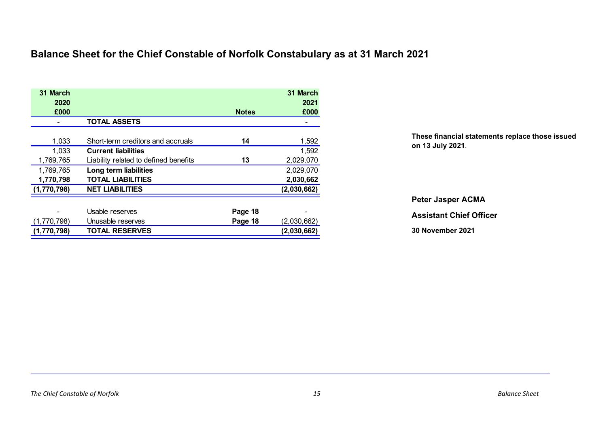# **Balance Sheet for the Chief Constable of Norfolk Constabulary as at 31 March 2021**

| 31 March<br>2020<br>£000 |                                       | <b>Notes</b> | 31 March<br>2021<br>£000 |
|--------------------------|---------------------------------------|--------------|--------------------------|
|                          | <b>TOTAL ASSETS</b>                   |              |                          |
| 1,033                    | Short-term creditors and accruals     | 14           | 1,592                    |
| 1,033                    | <b>Current liabilities</b>            |              | 1,592                    |
| 1,769,765                | Liability related to defined benefits | 13           | 2,029,070                |
| 1,769,765                | Long term liabilities                 |              | 2,029,070                |
| 1,770,798                | <b>TOTAL LIABILITIES</b>              |              | 2,030,662                |
| (1,770,798)              | <b>NET LIABILITIES</b>                |              | (2,030,662)              |
|                          |                                       |              |                          |
|                          | Usable reserves                       | Page 18      |                          |
| (1,770,798)              | Unusable reserves                     | Page 18      | (2,030,662)              |
| (1,770,798)              | <b>TOTAL RESERVES</b>                 |              | (2,030,662)              |

**These financial statements replace those issued on 13 July 2021**.

**Peter Jasper ACMA**

**Assistant Chief Officer**

**30 November 2021**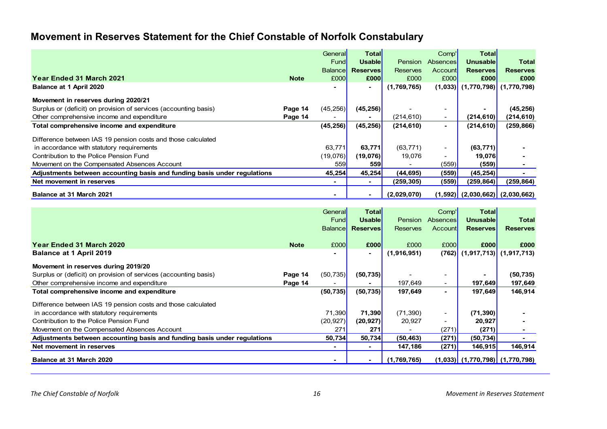# **Movement in Reserves Statement for the Chief Constable of Norfolk Constabulary**

|                                                                          |             | General        | Total           |                 | Comp'                    | Total                                 |                 |
|--------------------------------------------------------------------------|-------------|----------------|-----------------|-----------------|--------------------------|---------------------------------------|-----------------|
|                                                                          |             | Fund           | <b>Usable</b>   | <b>Pension</b>  | Absences                 | <b>Unusable</b>                       | <b>Total</b>    |
|                                                                          |             | <b>Balance</b> | <b>Reserves</b> | <b>Reserves</b> | Account                  | <b>Reserves</b>                       | <b>Reserves</b> |
| Year Ended 31 March 2021                                                 | <b>Note</b> | £000           | £000            | £000            | £000                     | £000                                  | £000            |
| Balance at 1 April 2020                                                  |             |                | $\blacksquare$  | (1,769,765)     |                          | $(1,033)$ $(1,770,798)$               | (1,770,798)     |
| Movement in reserves during 2020/21                                      |             |                |                 |                 |                          |                                       |                 |
| Surplus or (deficit) on provision of services (accounting basis)         | Page 14     | (45, 256)      | (45, 256)       |                 |                          |                                       | (45, 256)       |
| Other comprehensive income and expenditure                               | Page 14     |                | ٠               | (214,610)       | $\sim$                   | (214, 610)                            | (214, 610)      |
| Total comprehensive income and expenditure                               |             | (45, 256)      | (45, 256)       | (214, 610)      | ۰.                       | (214, 610)                            | (259, 866)      |
| Difference between IAS 19 pension costs and those calculated             |             |                |                 |                 |                          |                                       |                 |
| in accordance with statutory requirements                                |             | 63,771         | 63,771          | (63, 771)       | $\sim$                   | (63, 771)                             |                 |
| Contribution to the Police Pension Fund                                  |             | (19,076)       | (19,076)        | 19,076          | $\overline{\phantom{0}}$ | 19,076                                |                 |
| Movement on the Compensated Absences Account                             |             | 559            | 559             |                 | (559)                    | (559)                                 |                 |
| Adjustments between accounting basis and funding basis under regulations |             | 45,254         | 45,254          | (44, 695)       | (559)                    | (45, 254)                             |                 |
| Net movement in reserves                                                 |             |                | $\sim$          | (259,305)       | (559)                    | (259, 864)                            | (259,864)       |
| Balance at 31 March 2021                                                 |             |                | ۰.              | (2,029,070)     |                          | $(1,592)$ $(2,030,662)$ $(2,030,662)$ |                 |

|                                                                          |             | <b>General</b><br>Fund | <b>Total</b><br><b>Usable</b> | Pension         | Comp'l<br>Absences       | <b>Total</b><br>Unusablel             | <b>Total</b>    |
|--------------------------------------------------------------------------|-------------|------------------------|-------------------------------|-----------------|--------------------------|---------------------------------------|-----------------|
|                                                                          |             | <b>Balance</b>         | <b>Reserves</b>               | <b>Reserves</b> | Account                  | <b>Reserves</b>                       | <b>Reserves</b> |
| <b>Year Ended 31 March 2020</b>                                          | <b>Note</b> | £000                   | £000                          | £000            | £000                     | £000                                  | £000            |
| <b>Balance at 1 April 2019</b>                                           |             |                        | $\blacksquare$                | (1,916,951)     |                          | $(762)$ $(1,917,713)$                 | (1, 917, 713)   |
| Movement in reserves during 2019/20                                      |             |                        |                               |                 |                          |                                       |                 |
| Surplus or (deficit) on provision of services (accounting basis)         | Page 14     | (50, 735)              | (50, 735)                     |                 |                          |                                       | (50, 735)       |
| Other comprehensive income and expenditure                               | Page 14     |                        |                               | 197,649         |                          | 197,649                               | 197,649         |
| Total comprehensive income and expenditure                               |             | (50, 735)              | (50, 735)                     | 197,649         |                          | 197,649                               | 146,914         |
| Difference between IAS 19 pension costs and those calculated             |             |                        |                               |                 |                          |                                       |                 |
| in accordance with statutory requirements                                |             | 71,390                 | 71,390                        | (71, 390)       | $\qquad \qquad -$        | (71, 390)                             |                 |
| Contribution to the Police Pension Fund                                  |             | (20, 927)              | (20, 927)                     | 20,927          | $\overline{\phantom{a}}$ | 20,927                                |                 |
| Movement on the Compensated Absences Account                             |             | 271                    | 271                           |                 | (271)                    | (271)                                 |                 |
| Adjustments between accounting basis and funding basis under regulations |             | 50,734                 | 50,734                        | (50, 463)       | (271)                    | (50, 734)                             |                 |
| Net movement in reserves                                                 |             |                        | ۰.                            | 147,186         | (271)                    | 146,915                               | 146,914         |
| Balance at 31 March 2020                                                 |             |                        |                               | (1,769,765)     |                          | $(1,033)$ $(1,770,798)$ $(1,770,798)$ |                 |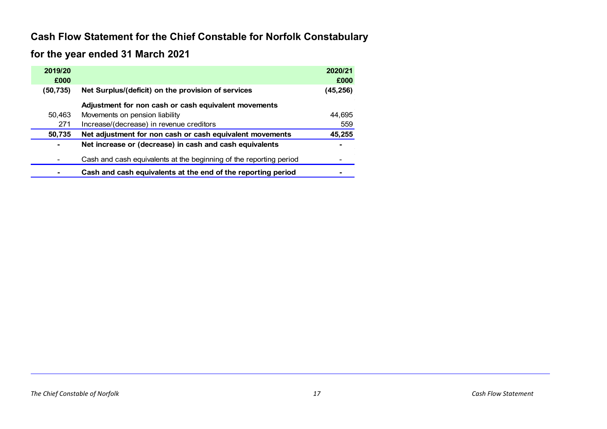# **Cash Flow Statement for the Chief Constable for Norfolk Constabulary**

# **for the year ended 31 March 2021**

| 2019/20<br>£000 |                                                                    | 2020/21<br>£000 |
|-----------------|--------------------------------------------------------------------|-----------------|
| (50,735)        | Net Surplus/(deficit) on the provision of services                 | (45,256)        |
|                 | Adjustment for non cash or cash equivalent movements               |                 |
| 50,463          | Movements on pension liability                                     | 44,695          |
| 271             | Increase/(decrease) in revenue creditors                           | 559             |
| 50,735          | Net adjustment for non cash or cash equivalent movements           | 45,255          |
| $\blacksquare$  | Net increase or (decrease) in cash and cash equivalents            |                 |
|                 | Cash and cash equivalents at the beginning of the reporting period |                 |
|                 | Cash and cash equivalents at the end of the reporting period       |                 |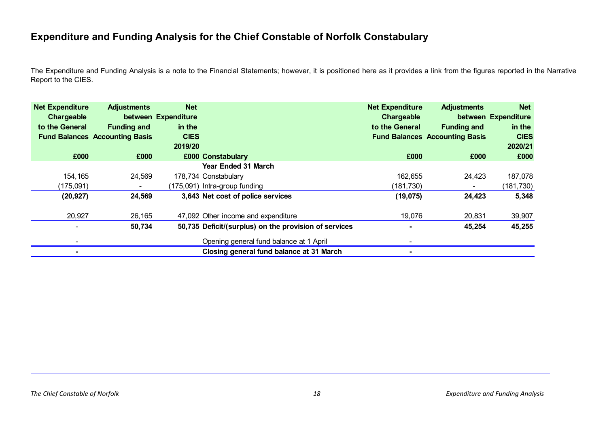# **Expenditure and Funding Analysis for the Chief Constable of Norfolk Constabulary**

The Expenditure and Funding Analysis is a note to the Financial Statements; however, it is positioned here as it provides a link from the figures reported in the Narrative Report to the CIES.

| <b>Net Expenditure</b><br>Chargeable<br>to the General | <b>Adjustments</b><br><b>Funding and</b><br><b>Fund Balances Accounting Basis</b> | <b>Net</b><br>between Expenditure<br>in the<br><b>CIES</b><br>2019/20 |                                                       | <b>Net Expenditure</b><br>Chargeable<br>to the General | <b>Adjustments</b><br><b>Funding and</b><br><b>Fund Balances Accounting Basis</b> | <b>Net</b><br>between Expenditure<br>in the<br><b>CIES</b><br>2020/21 |
|--------------------------------------------------------|-----------------------------------------------------------------------------------|-----------------------------------------------------------------------|-------------------------------------------------------|--------------------------------------------------------|-----------------------------------------------------------------------------------|-----------------------------------------------------------------------|
| £000                                                   | £000                                                                              |                                                                       | £000 Constabulary                                     | £000                                                   | £000                                                                              | £000                                                                  |
|                                                        |                                                                                   |                                                                       | <b>Year Ended 31 March</b>                            |                                                        |                                                                                   |                                                                       |
| 154,165                                                | 24,569                                                                            |                                                                       | 178,734 Constabulary                                  | 162,655                                                | 24,423                                                                            | 187,078                                                               |
| (175,091)                                              | $\blacksquare$                                                                    |                                                                       | (175,091) Intra-group funding                         | (181,730)                                              | $\blacksquare$                                                                    | (181,730)                                                             |
| (20, 927)                                              | 24,569                                                                            |                                                                       | 3,643 Net cost of police services                     | (19,075)                                               | 24,423                                                                            | 5,348                                                                 |
| 20,927                                                 | 26,165                                                                            |                                                                       | 47,092 Other income and expenditure                   | 19,076                                                 | 20,831                                                                            | 39,907                                                                |
|                                                        | 50,734                                                                            |                                                                       | 50,735 Deficit/(surplus) on the provision of services | $\blacksquare$                                         | 45,254                                                                            | 45,255                                                                |
|                                                        |                                                                                   |                                                                       | Opening general fund balance at 1 April               |                                                        |                                                                                   |                                                                       |
|                                                        |                                                                                   |                                                                       | Closing general fund balance at 31 March              | $\overline{\phantom{a}}$                               |                                                                                   |                                                                       |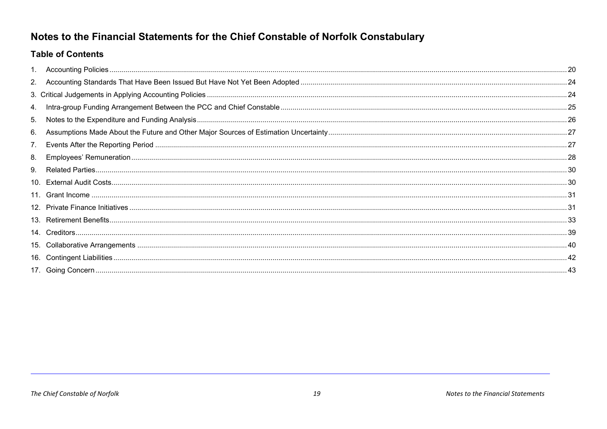# Notes to the Financial Statements for the Chief Constable of Norfolk Constabulary

# **Table of Contents**

| 4. |      |
|----|------|
| 5. | 26   |
| 6. |      |
| 7. | . 27 |
| 8. | . 28 |
| 9. |      |
|    |      |
|    |      |
|    |      |
|    |      |
|    |      |
|    |      |
|    |      |
|    |      |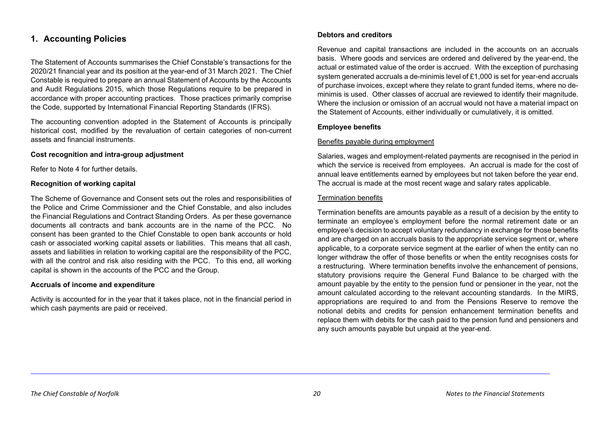# <span id="page-27-0"></span>**1. Accounting Policies**

The Statement of Accounts summarises the Chief Constable's transactions for the 2020/21 financial year and its position at the year-end of 31 March 2021. The Chief Constable is required to prepare an annual Statement of Accounts by the Accounts and Audit Regulations 2015, which those Regulations require to be prepared in accordance with proper accounting practices. Those practices primarily comprise the Code, supported by International Financial Reporting Standards (IFRS).

The accounting convention adopted in the Statement of Accounts is principally historical cost, modified by the revaluation of certain categories of non-current assets and financial instruments.

#### **Cost recognition and intra-group adjustment**

Refer to Note 4 for further details.

#### **Recognition of working capital**

The Scheme of Governance and Consent sets out the roles and responsibilities of the Police and Crime Commissioner and the Chief Constable, and also includes the Financial Regulations and Contract Standing Orders. As per these governance documents all contracts and bank accounts are in the name of the PCC. No consent has been granted to the Chief Constable to open bank accounts or hold cash or associated working capital assets or liabilities. This means that all cash, assets and liabilities in relation to working capital are the responsibility of the PCC, with all the control and risk also residing with the PCC. To this end, all working capital is shown in the accounts of the PCC and the Group.

#### **Accruals of income and expenditure**

Activity is accounted for in the year that it takes place, not in the financial period in which cash payments are paid or received.

#### **Debtors and creditors**

Revenue and capital transactions are included in the accounts on an accruals basis. Where goods and services are ordered and delivered by the year-end, the actual or estimated value of the order is accrued. With the exception of purchasing system generated accruals a de-minimis level of £1,000 is set for year-end accruals of purchase invoices, except where they relate to grant funded items, where no deminimis is used. Other classes of accrual are reviewed to identify their magnitude. Where the inclusion or omission of an accrual would not have a material impact on the Statement of Accounts, either individually or cumulatively, it is omitted.

## **Employee benefits**

#### Benefits payable during employment

Salaries, wages and employment-related payments are recognised in the period in which the service is received from employees. An accrual is made for the cost of annual leave entitlements earned by employees but not taken before the year end. The accrual is made at the most recent wage and salary rates applicable.

#### Termination benefits

Termination benefits are amounts payable as a result of a decision by the entity to terminate an employee's employment before the normal retirement date or an employee's decision to accept voluntary redundancy in exchange for those benefits and are charged on an accruals basis to the appropriate service segment or, where applicable, to a corporate service segment at the earlier of when the entity can no longer withdraw the offer of those benefits or when the entity recognises costs for a restructuring. Where termination benefits involve the enhancement of pensions, statutory provisions require the General Fund Balance to be charged with the amount payable by the entity to the pension fund or pensioner in the year, not the amount calculated according to the relevant accounting standards. In the MIRS, appropriations are required to and from the Pensions Reserve to remove the notional debits and credits for pension enhancement termination benefits and replace them with debits for the cash paid to the pension fund and pensioners and any such amounts payable but unpaid at the year-end.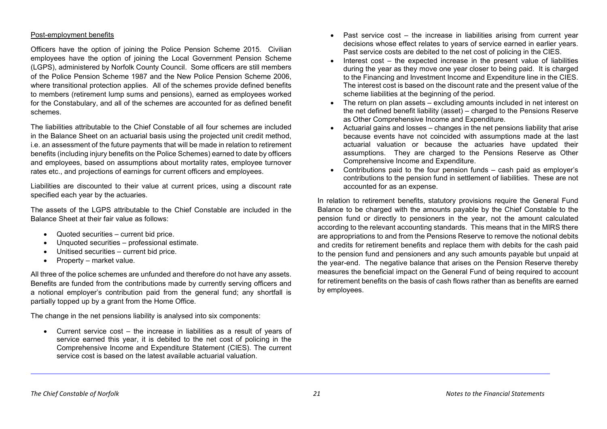#### Post-employment benefits

Officers have the option of joining the Police Pension Scheme 2015. Civilian employees have the option of joining the Local Government Pension Scheme (LGPS), administered by Norfolk County Council. Some officers are still members of the Police Pension Scheme 1987 and the New Police Pension Scheme 2006, where transitional protection applies. All of the schemes provide defined benefits to members (retirement lump sums and pensions), earned as employees worked for the Constabulary, and all of the schemes are accounted for as defined benefit schemes.

The liabilities attributable to the Chief Constable of all four schemes are included in the Balance Sheet on an actuarial basis using the projected unit credit method, i.e. an assessment of the future payments that will be made in relation to retirement benefits (including injury benefits on the Police Schemes) earned to date by officers and employees, based on assumptions about mortality rates, employee turnover rates etc., and projections of earnings for current officers and employees.

Liabilities are discounted to their value at current prices, using a discount rate specified each year by the actuaries.

The assets of the LGPS attributable to the Chief Constable are included in the Balance Sheet at their fair value as follows:

- Quoted securities current bid price.
- Unquoted securities professional estimate.
- Unitised securities current bid price.
- Property market value.

All three of the police schemes are unfunded and therefore do not have any assets. Benefits are funded from the contributions made by currently serving officers and a notional employer's contribution paid from the general fund; any shortfall is partially topped up by a grant from the Home Office.

The change in the net pensions liability is analysed into six components:

• Current service cost – the increase in liabilities as a result of years of service earned this year, it is debited to the net cost of policing in the Comprehensive Income and Expenditure Statement (CIES). The current service cost is based on the latest available actuarial valuation.

- Past service cost the increase in liabilities arising from current year decisions whose effect relates to years of service earned in earlier years. Past service costs are debited to the net cost of policing in the CIES.
- Interest cost the expected increase in the present value of liabilities during the year as they move one year closer to being paid. It is charged to the Financing and Investment Income and Expenditure line in the CIES. The interest cost is based on the discount rate and the present value of the scheme liabilities at the beginning of the period.
- The return on plan assets excluding amounts included in net interest on the net defined benefit liability (asset) – charged to the Pensions Reserve as Other Comprehensive Income and Expenditure.
- Actuarial gains and losses changes in the net pensions liability that arise because events have not coincided with assumptions made at the last actuarial valuation or because the actuaries have updated their assumptions. They are charged to the Pensions Reserve as Other Comprehensive Income and Expenditure.
- Contributions paid to the four pension funds cash paid as employer's contributions to the pension fund in settlement of liabilities. These are not accounted for as an expense.

In relation to retirement benefits, statutory provisions require the General Fund Balance to be charged with the amounts payable by the Chief Constable to the pension fund or directly to pensioners in the year, not the amount calculated according to the relevant accounting standards. This means that in the MIRS there are appropriations to and from the Pensions Reserve to remove the notional debits and credits for retirement benefits and replace them with debits for the cash paid to the pension fund and pensioners and any such amounts payable but unpaid at the year-end. The negative balance that arises on the Pension Reserve thereby measures the beneficial impact on the General Fund of being required to account for retirement benefits on the basis of cash flows rather than as benefits are earned by employees.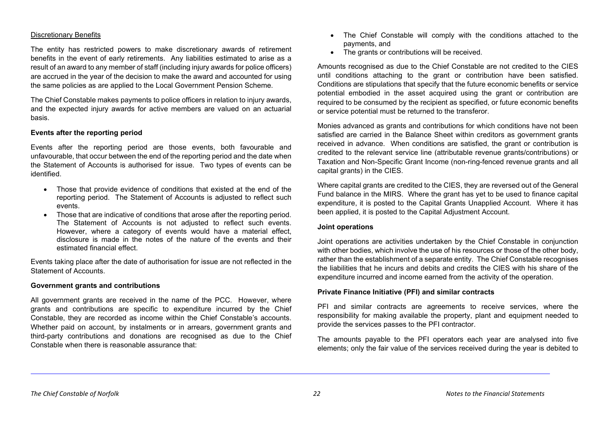#### Discretionary Benefits

The entity has restricted powers to make discretionary awards of retirement benefits in the event of early retirements. Any liabilities estimated to arise as a result of an award to any member of staff (including injury awards for police officers) are accrued in the year of the decision to make the award and accounted for using the same policies as are applied to the Local Government Pension Scheme.

The Chief Constable makes payments to police officers in relation to injury awards, and the expected injury awards for active members are valued on an actuarial basis.

#### **Events after the reporting period**

Events after the reporting period are those events, both favourable and unfavourable, that occur between the end of the reporting period and the date when the Statement of Accounts is authorised for issue. Two types of events can be identified.

- Those that provide evidence of conditions that existed at the end of the reporting period. The Statement of Accounts is adjusted to reflect such events.
- Those that are indicative of conditions that arose after the reporting period. The Statement of Accounts is not adjusted to reflect such events. However, where a category of events would have a material effect, disclosure is made in the notes of the nature of the events and their estimated financial effect.

Events taking place after the date of authorisation for issue are not reflected in the Statement of Accounts.

#### **Government grants and contributions**

All government grants are received in the name of the PCC. However, where grants and contributions are specific to expenditure incurred by the Chief Constable, they are recorded as income within the Chief Constable's accounts. Whether paid on account, by instalments or in arrears, government grants and third-party contributions and donations are recognised as due to the Chief Constable when there is reasonable assurance that:

- The Chief Constable will comply with the conditions attached to the payments, and
- The grants or contributions will be received.

Amounts recognised as due to the Chief Constable are not credited to the CIES until conditions attaching to the grant or contribution have been satisfied. Conditions are stipulations that specify that the future economic benefits or service potential embodied in the asset acquired using the grant or contribution are required to be consumed by the recipient as specified, or future economic benefits or service potential must be returned to the transferor.

Monies advanced as grants and contributions for which conditions have not been satisfied are carried in the Balance Sheet within creditors as government grants received in advance. When conditions are satisfied, the grant or contribution is credited to the relevant service line (attributable revenue grants/contributions) or Taxation and Non-Specific Grant Income (non-ring-fenced revenue grants and all capital grants) in the CIES.

Where capital grants are credited to the CIES, they are reversed out of the General Fund balance in the MIRS. Where the grant has yet to be used to finance capital expenditure, it is posted to the Capital Grants Unapplied Account. Where it has been applied, it is posted to the Capital Adjustment Account.

#### **Joint operations**

Joint operations are activities undertaken by the Chief Constable in conjunction with other bodies, which involve the use of his resources or those of the other body, rather than the establishment of a separate entity. The Chief Constable recognises the liabilities that he incurs and debits and credits the CIES with his share of the expenditure incurred and income earned from the activity of the operation.

## **Private Finance Initiative (PFI) and similar contracts**

PFI and similar contracts are agreements to receive services, where the responsibility for making available the property, plant and equipment needed to provide the services passes to the PFI contractor.

The amounts payable to the PFI operators each year are analysed into five elements; only the fair value of the services received during the year is debited to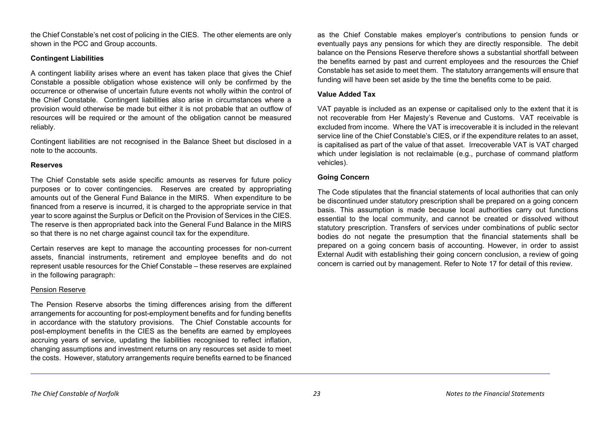the Chief Constable's net cost of policing in the CIES. The other elements are only shown in the PCC and Group accounts.

# **Contingent Liabilities**

A contingent liability arises where an event has taken place that gives the Chief Constable a possible obligation whose existence will only be confirmed by the occurrence or otherwise of uncertain future events not wholly within the control of the Chief Constable. Contingent liabilities also arise in circumstances where a provision would otherwise be made but either it is not probable that an outflow of resources will be required or the amount of the obligation cannot be measured reliably.

Contingent liabilities are not recognised in the Balance Sheet but disclosed in a note to the accounts.

## **Reserves**

The Chief Constable sets aside specific amounts as reserves for future policy purposes or to cover contingencies. Reserves are created by appropriating amounts out of the General Fund Balance in the MIRS. When expenditure to be financed from a reserve is incurred, it is charged to the appropriate service in that year to score against the Surplus or Deficit on the Provision of Services in the CIES. The reserve is then appropriated back into the General Fund Balance in the MIRS so that there is no net charge against council tax for the expenditure.

Certain reserves are kept to manage the accounting processes for non-current assets, financial instruments, retirement and employee benefits and do not represent usable resources for the Chief Constable – these reserves are explained in the following paragraph:

# Pension Reserve

The Pension Reserve absorbs the timing differences arising from the different arrangements for accounting for post-employment benefits and for funding benefits in accordance with the statutory provisions. The Chief Constable accounts for post-employment benefits in the CIES as the benefits are earned by employees accruing years of service, updating the liabilities recognised to reflect inflation, changing assumptions and investment returns on any resources set aside to meet the costs. However, statutory arrangements require benefits earned to be financed

as the Chief Constable makes employer's contributions to pension funds or eventually pays any pensions for which they are directly responsible. The debit balance on the Pensions Reserve therefore shows a substantial shortfall between the benefits earned by past and current employees and the resources the Chief Constable has set aside to meet them. The statutory arrangements will ensure that funding will have been set aside by the time the benefits come to be paid.

# **Value Added Tax**

VAT payable is included as an expense or capitalised only to the extent that it is not recoverable from Her Majesty's Revenue and Customs. VAT receivable is excluded from income. Where the VAT is irrecoverable it is included in the relevant service line of the Chief Constable's CIES, or if the expenditure relates to an asset, is capitalised as part of the value of that asset. Irrecoverable VAT is VAT charged which under legislation is not reclaimable (e.g., purchase of command platform vehicles).

# **Going Concern**

The Code stipulates that the financial statements of local authorities that can only be discontinued under statutory prescription shall be prepared on a going concern basis. This assumption is made because local authorities carry out functions essential to the local community, and cannot be created or dissolved without statutory prescription. Transfers of services under combinations of public sector bodies do not negate the presumption that the financial statements shall be prepared on a going concern basis of accounting. However, in order to assist External Audit with establishing their going concern conclusion, a review of going concern is carried out by management. Refer to Note 17 for detail of this review.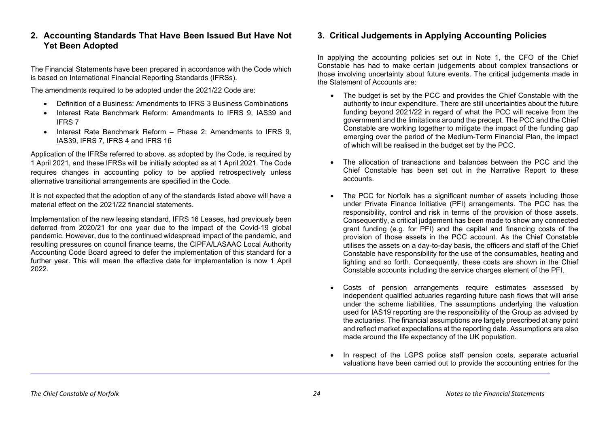# <span id="page-31-0"></span>**2. Accounting Standards That Have Been Issued But Have Not Yet Been Adopted**

The Financial Statements have been prepared in accordance with the Code which is based on International Financial Reporting Standards (IFRSs).

The amendments required to be adopted under the 2021/22 Code are:

- Definition of a Business: Amendments to IFRS 3 Business Combinations
- Interest Rate Benchmark Reform: Amendments to IFRS 9, IAS39 and IFRS 7
- Interest Rate Benchmark Reform Phase 2: Amendments to IFRS 9, IAS39, IFRS 7, IFRS 4 and IFRS 16

Application of the IFRSs referred to above, as adopted by the Code, is required by 1 April 2021, and these IFRSs will be initially adopted as at 1 April 2021. The Code requires changes in accounting policy to be applied retrospectively unless alternative transitional arrangements are specified in the Code.

It is not expected that the adoption of any of the standards listed above will have a material effect on the 2021/22 financial statements.

Implementation of the new leasing standard, IFRS 16 Leases, had previously been deferred from 2020/21 for one year due to the impact of the Covid-19 global pandemic. However, due to the continued widespread impact of the pandemic, and resulting pressures on council finance teams, the CIPFA/LASAAC Local Authority Accounting Code Board agreed to defer the implementation of this standard for a further year. This will mean the effective date for implementation is now 1 April 2022.

# <span id="page-31-1"></span>**3. Critical Judgements in Applying Accounting Policies**

In applying the accounting policies set out in Note 1, the CFO of the Chief Constable has had to make certain judgements about complex transactions or those involving uncertainty about future events. The critical judgements made in the Statement of Accounts are:

- The budget is set by the PCC and provides the Chief Constable with the authority to incur expenditure. There are still uncertainties about the future funding beyond 2021/22 in regard of what the PCC will receive from the government and the limitations around the precept. The PCC and the Chief Constable are working together to mitigate the impact of the funding gap emerging over the period of the Medium-Term Financial Plan, the impact of which will be realised in the budget set by the PCC.
- The allocation of transactions and balances between the PCC and the Chief Constable has been set out in the Narrative Report to these accounts.
- The PCC for Norfolk has a significant number of assets including those under Private Finance Initiative (PFI) arrangements. The PCC has the responsibility, control and risk in terms of the provision of those assets. Consequently, a critical judgement has been made to show any connected grant funding (e.g. for PFI) and the capital and financing costs of the provision of those assets in the PCC account. As the Chief Constable utilises the assets on a day-to-day basis, the officers and staff of the Chief Constable have responsibility for the use of the consumables, heating and lighting and so forth. Consequently, these costs are shown in the Chief Constable accounts including the service charges element of the PFI.
- Costs of pension arrangements require estimates assessed by independent qualified actuaries regarding future cash flows that will arise under the scheme liabilities. The assumptions underlying the valuation used for IAS19 reporting are the responsibility of the Group as advised by the actuaries. The financial assumptions are largely prescribed at any point and reflect market expectations at the reporting date. Assumptions are also made around the life expectancy of the UK population.
- In respect of the LGPS police staff pension costs, separate actuarial valuations have been carried out to provide the accounting entries for the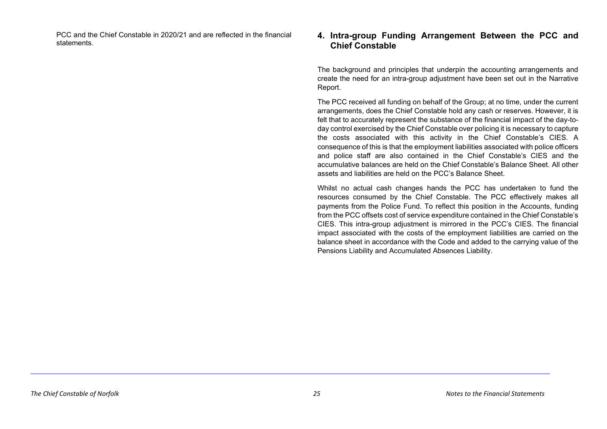PCC and the Chief Constable in 2020/21 and are reflected in the financial

# PCC and the Chief Constable in 2020/21 and are reflected in the financial **4. Intra-group Funding Arrangement Between the PCC and**<br> **Chief Constable Chief Constable**

<span id="page-32-0"></span>The background and principles that underpin the accounting arrangements and create the need for an intra-group adjustment have been set out in the Narrative Report.

The PCC received all funding on behalf of the Group; at no time, under the current arrangements, does the Chief Constable hold any cash or reserves. However, it is felt that to accurately represent the substance of the financial impact of the day-today control exercised by the Chief Constable over policing it is necessary to capture the costs associated with this activity in the Chief Constable's CIES. A consequence of this is that the employment liabilities associated with police officers and police staff are also contained in the Chief Constable's CIES and the accumulative balances are held on the Chief Constable's Balance Sheet. All other assets and liabilities are held on the PCC's Balance Sheet.

Whilst no actual cash changes hands the PCC has undertaken to fund the resources consumed by the Chief Constable. The PCC effectively makes all payments from the Police Fund. To reflect this position in the Accounts, funding from the PCC offsets cost of service expenditure contained in the Chief Constable's CIES. This intra-group adjustment is mirrored in the PCC's CIES. The financial impact associated with the costs of the employment liabilities are carried on the balance sheet in accordance with the Code and added to the carrying value of the Pensions Liability and Accumulated Absences Liability.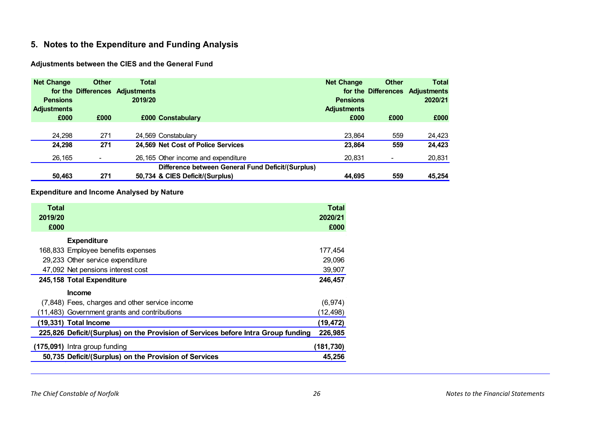# <span id="page-33-0"></span>**5. Notes to the Expenditure and Funding Analysis**

# **Adjustments between the CIES and the General Fund**

| <b>Net Change</b>                     | <b>Other</b>             | <b>Total</b><br>for the Differences Adjustments | <b>Net Change</b>                                 | Other | <b>Total</b><br>for the Differences Adjustments |
|---------------------------------------|--------------------------|-------------------------------------------------|---------------------------------------------------|-------|-------------------------------------------------|
| <b>Pensions</b><br><b>Adjustments</b> |                          | 2019/20                                         | <b>Pensions</b><br><b>Adjustments</b>             |       | 2020/21                                         |
| £000                                  | £000                     | £000 Constabulary                               | £000                                              | £000  | £000                                            |
| 24.298                                | 271                      | 24,569 Constabulary                             | 23.864                                            | 559   | 24,423                                          |
| 24,298                                | 271                      | 24,569 Net Cost of Police Services              | 23.864                                            | 559   | 24,423                                          |
| 26,165                                | $\overline{\phantom{a}}$ | 26,165 Other income and expenditure             | 20.831                                            | ٠     | 20,831                                          |
|                                       |                          |                                                 | Difference between General Fund Deficit/(Surplus) |       |                                                 |
| 50,463                                | 271                      | 50,734 & CIES Deficit/(Surplus)                 | 44.695                                            | 559   | 45,254                                          |

# **Expenditure and Income Analysed by Nature**

| <b>Total</b><br>2019/20<br>£000 |                                                                                   | Total<br>2020/21<br>£000 |
|---------------------------------|-----------------------------------------------------------------------------------|--------------------------|
|                                 | <b>Expenditure</b>                                                                |                          |
|                                 | 168,833 Employee benefits expenses                                                | 177,454                  |
|                                 | 29,233 Other service expenditure                                                  | 29,096                   |
|                                 | 47,092 Net pensions interest cost                                                 | 39,907                   |
|                                 | 245,158 Total Expenditure                                                         | 246,457                  |
|                                 | <b>Income</b>                                                                     |                          |
|                                 | (7,848) Fees, charges and other service income                                    | (6, 974)                 |
|                                 | (11,483) Government grants and contributions                                      | (12,498)                 |
|                                 | (19,331) Total Income                                                             | (19,472)                 |
|                                 | 225,826 Deficit/(Surplus) on the Provision of Services before Intra Group funding | 226,985                  |
|                                 | (175,091) Intra group funding                                                     | (181,730)                |
|                                 | 50,735 Deficit/(Surplus) on the Provision of Services                             | 45,256                   |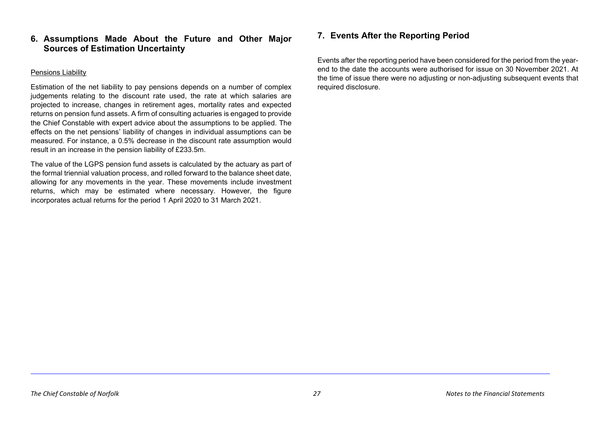# <span id="page-34-0"></span>**6. Assumptions Made About the Future and Other Major Sources of Estimation Uncertainty**

# Pensions Liability

Estimation of the net liability to pay pensions depends on a number of complex judgements relating to the discount rate used, the rate at which salaries are projected to increase, changes in retirement ages, mortality rates and expected returns on pension fund assets. A firm of consulting actuaries is engaged to provide the Chief Constable with expert advice about the assumptions to be applied. The effects on the net pensions' liability of changes in individual assumptions can be measured. For instance, a 0.5% decrease in the discount rate assumption would result in an increase in the pension liability of £233.5m.

The value of the LGPS pension fund assets is calculated by the actuary as part of the formal triennial valuation process, and rolled forward to the balance sheet date, allowing for any movements in the year. These movements include investment returns, which may be estimated where necessary. However, the figure incorporates actual returns for the period 1 April 2020 to 31 March 2021.

# <span id="page-34-1"></span>**7. Events After the Reporting Period**

Events after the reporting period have been considered for the period from the yearend to the date the accounts were authorised for issue on 30 November 2021. At the time of issue there were no adjusting or non-adjusting subsequent events that required disclosure.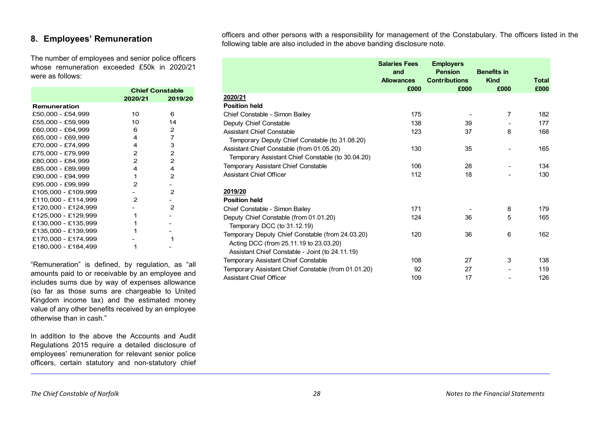# <span id="page-35-0"></span>**8. Employees' Remuneration**

The number of employees and senior police officers whose remuneration exceeded £50k in 2020/21 were as follows:

|                     | <b>Chief Constable</b> |                |
|---------------------|------------------------|----------------|
|                     | 2020/21                | 2019/20        |
| Remuneration        |                        |                |
| £50,000 - £54,999   | 10                     | 6              |
| £55,000 - £59,999   | 10                     | 14             |
| £60,000 - £64,999   | 6                      | 2              |
| £65,000 - £69,999   | 4                      | $\overline{7}$ |
| £70,000 - £74,999   | 4                      | 3              |
| £75,000 - £79,999   | 2                      | 2              |
| £80,000 - £84,999   | $\overline{2}$         | 2              |
| £85,000 - £89,999   | 4                      | 4              |
| £90,000 - £94,999   | 1                      | 2              |
| £95,000 - £99,999   | 2                      |                |
| £105,000 - £109,999 |                        | 2              |
| £110,000 - £114,999 | 2                      |                |
| £120,000 - £124,999 |                        | 2              |
| £125,000 - £129,999 | 1                      |                |
| £130.000 - £135.999 | 1                      |                |
| £135,000 - £139,999 |                        |                |
| £170,000 - £174,999 |                        |                |
| £180,000 - £184,499 |                        |                |

"Remuneration" is defined, by regulation, as "all amounts paid to or receivable by an employee and includes sums due by way of expenses allowance (so far as those sums are chargeable to United Kingdom income tax) and the estimated money value of any other benefits received by an employee otherwise than in cash."

In addition to the above the Accounts and Audit Regulations 2015 require a detailed disclosure of employees' remuneration for relevant senior police officers, certain statutory and non-statutory chief

officers and other persons with a responsibility for management of the Constabulary. The officers listed in the following table are also included in the above banding disclosure note.

|                                                     | <b>Salaries Fees</b><br>and<br><b>Allowances</b><br>£000 | <b>Employers</b><br><b>Pension</b><br><b>Contributions</b><br>£000 | <b>Benefits in</b><br><b>Kind</b><br>£000 | <b>Total</b><br>£000 |
|-----------------------------------------------------|----------------------------------------------------------|--------------------------------------------------------------------|-------------------------------------------|----------------------|
| 2020/21                                             |                                                          |                                                                    |                                           |                      |
| <b>Position held</b>                                |                                                          |                                                                    |                                           |                      |
| Chief Constable - Simon Bailey                      | 175                                                      |                                                                    | $\overline{7}$                            | 182                  |
| Deputy Chief Constable                              | 138                                                      | 39                                                                 |                                           | 177                  |
| <b>Assistant Chief Constable</b>                    | 123                                                      | 37                                                                 | 8                                         | 168                  |
| Temporary Deputy Chief Constable (to 31.08.20)      |                                                          |                                                                    |                                           |                      |
| Assistant Chief Constable (from 01.05.20)           | 130                                                      | 35                                                                 |                                           | 165                  |
| Temporary Assistant Chief Constable (to 30.04.20)   |                                                          |                                                                    |                                           |                      |
| Temporary Assistant Chief Constable                 | 106                                                      | 28                                                                 |                                           | 134                  |
| <b>Assistant Chief Officer</b>                      | 112                                                      | 18                                                                 |                                           | 130                  |
| 2019/20                                             |                                                          |                                                                    |                                           |                      |
| <b>Position held</b>                                |                                                          |                                                                    |                                           |                      |
| Chief Constable - Simon Bailey                      | 171                                                      |                                                                    | 8                                         | 179                  |
| Deputy Chief Constable (from 01.01.20)              | 124                                                      | 36                                                                 | 5                                         | 165                  |
| Temporary DCC (to 31.12.19)                         |                                                          |                                                                    |                                           |                      |
| Temporary Deputy Chief Constable (from 24.03.20)    | 120                                                      | 36                                                                 | 6                                         | 162                  |
| Acting DCC (from 25.11.19 to 23.03.20)              |                                                          |                                                                    |                                           |                      |
| Assistant Chief Constable - Joint (to 24.11.19)     |                                                          |                                                                    |                                           |                      |
| Temporary Assistant Chief Constable                 | 108                                                      | 27                                                                 | 3                                         | 138                  |
| Temporary Assistant Chief Constable (from 01.01.20) | 92                                                       | 27                                                                 |                                           | 119                  |
| <b>Assistant Chief Officer</b>                      | 109                                                      | 17                                                                 |                                           | 126                  |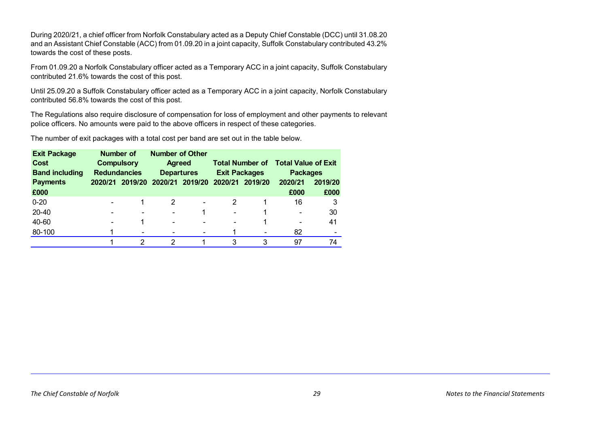During 2020/21, a chief officer from Norfolk Constabulary acted as a Deputy Chief Constable (DCC) until 31.08.20 and an Assistant Chief Constable (ACC) from 01.09.20 in a joint capacity, Suffolk Constabulary contributed 43.2% towards the cost of these posts.

From 01.09.20 a Norfolk Constabulary officer acted as a Temporary ACC in a joint capacity, Suffolk Constabulary contributed 21.6% towards the cost of this post.

Until 25.09.20 a Suffolk Constabulary officer acted as a Temporary ACC in a joint capacity, Norfolk Constabulary contributed 56.8% towards the cost of this post.

The Regulations also require disclosure of compensation for loss of employment and other payments to relevant police officers. No amounts were paid to the above officers in respect of these categories.

The number of exit packages with a total cost per band are set out in the table below.

| <b>Exit Package</b>   | Number of                |                          | <b>Number of Other</b>   |                          |                          |                        |                            |         |
|-----------------------|--------------------------|--------------------------|--------------------------|--------------------------|--------------------------|------------------------|----------------------------|---------|
| <b>Cost</b>           | <b>Compulsory</b>        |                          | <b>Agreed</b>            |                          |                          | <b>Total Number of</b> | <b>Total Value of Exit</b> |         |
| <b>Band including</b> | <b>Redundancies</b>      |                          | <b>Departures</b>        |                          | <b>Exit Packages</b>     |                        | <b>Packages</b>            |         |
| <b>Payments</b>       |                          | 2020/21 2019/20          |                          | 2020/21 2019/20          | 2020/21<br>2019/20       |                        | 2020/21                    | 2019/20 |
| £000                  |                          |                          |                          |                          |                          |                        | £000                       | £000    |
| $0 - 20$              |                          |                          |                          | $\overline{\phantom{0}}$ | 2                        |                        | 16                         | 3       |
| 20-40                 | $\overline{\phantom{0}}$ | $\overline{\phantom{0}}$ |                          |                          | $\blacksquare$           | 1                      | $\overline{\phantom{0}}$   | 30      |
| 40-60                 | $\overline{\phantom{0}}$ | 1                        | $\overline{\phantom{0}}$ | ۰                        | $\overline{\phantom{0}}$ | 1                      | $\overline{\phantom{0}}$   | 41      |
| 80-100                |                          | $\overline{\phantom{0}}$ |                          |                          |                          |                        | 82                         |         |
|                       |                          | 2                        | 2                        |                          | 3                        | 3                      | 97                         | 74      |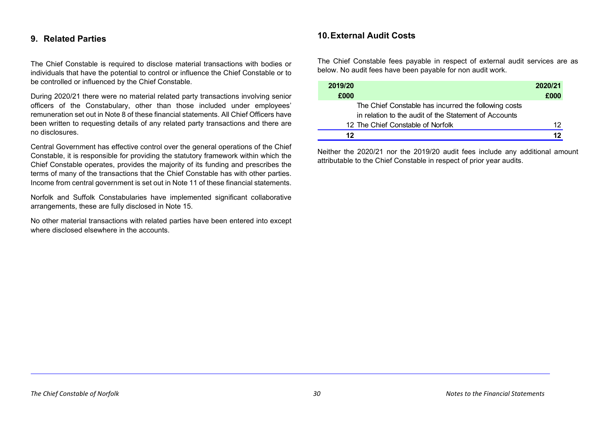# <span id="page-37-0"></span>**9. Related Parties**

The Chief Constable is required to disclose material transactions with bodies or individuals that have the potential to control or influence the Chief Constable or to be controlled or influenced by the Chief Constable.

During 2020/21 there were no material related party transactions involving senior officers of the Constabulary, other than those included under employees' remuneration set out in Note 8 of these financial statements. All Chief Officers have been written to requesting details of any related party transactions and there are no disclosures.

Central Government has effective control over the general operations of the Chief Constable, it is responsible for providing the statutory framework within which the Chief Constable operates, provides the majority of its funding and prescribes the terms of many of the transactions that the Chief Constable has with other parties. Income from central government is set out in Note 11 of these financial statements.

Norfolk and Suffolk Constabularies have implemented significant collaborative arrangements, these are fully disclosed in Note 15.

No other material transactions with related parties have been entered into except where disclosed elsewhere in the accounts.

# <span id="page-37-1"></span>**10.External Audit Costs**

The Chief Constable fees payable in respect of external audit services are as below. No audit fees have been payable for non audit work.

| 2019/20                                               | 2020/21 |
|-------------------------------------------------------|---------|
| £000                                                  | £000    |
| The Chief Constable has incurred the following costs  |         |
| in relation to the audit of the Statement of Accounts |         |
| 12 The Chief Constable of Norfolk                     | 12      |
| 12                                                    | 12      |

Neither the 2020/21 nor the 2019/20 audit fees include any additional amount attributable to the Chief Constable in respect of prior year audits.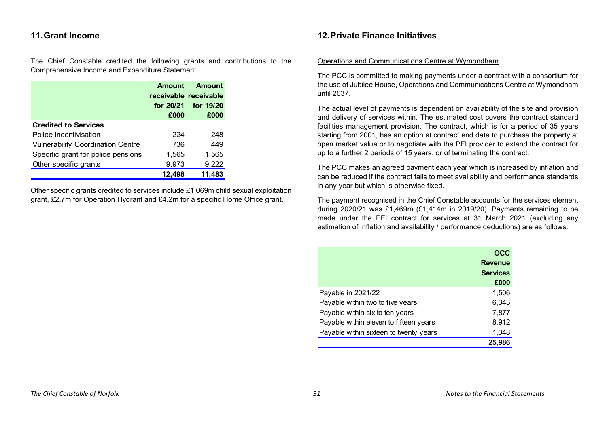# <span id="page-38-0"></span>**11.Grant Income**

The Chief Constable credited the following grants and contributions to the Comprehensive Income and Expenditure Statement.

|                                          | Amount    | Amount<br>receivable receivable |
|------------------------------------------|-----------|---------------------------------|
|                                          | for 20/21 | for 19/20                       |
|                                          | £000      | £000                            |
| <b>Credited to Services</b>              |           |                                 |
| Police incentivisation                   | 224       | 248                             |
| <b>Vulnerability Coordination Centre</b> | 736       | 449                             |
| Specific grant for police pensions       | 1,565     | 1,565                           |
| Other specific grants                    | 9,973     | 9,222                           |
|                                          | 12.498    | 11,483                          |

Other specific grants credited to services include £1.069m child sexual exploitation grant, £2.7m for Operation Hydrant and £4.2m for a specific Home Office grant.

# <span id="page-38-1"></span>**12.Private Finance Initiatives**

#### Operations and Communications Centre at Wymondham

The PCC is committed to making payments under a contract with a consortium for the use of Jubilee House, Operations and Communications Centre at Wymondham until 2037.

The actual level of payments is dependent on availability of the site and provision and delivery of services within. The estimated cost covers the contract standard facilities management provision. The contract, which is for a period of 35 years starting from 2001, has an option at contract end date to purchase the property at open market value or to negotiate with the PFI provider to extend the contract for up to a further 2 periods of 15 years, or of terminating the contract.

The PCC makes an agreed payment each year which is increased by inflation and can be reduced if the contract fails to meet availability and performance standards in any year but which is otherwise fixed.

The payment recognised in the Chief Constable accounts for the services element during 2020/21 was £1,469m (£1,414m in 2019/20). Payments remaining to be made under the PFI contract for services at 31 March 2021 (excluding any estimation of inflation and availability / performance deductions) are as follows:

|                                        | OCC             |
|----------------------------------------|-----------------|
|                                        | <b>Revenue</b>  |
|                                        | <b>Services</b> |
|                                        | £000            |
| Payable in 2021/22                     | 1,506           |
| Payable within two to five years       | 6,343           |
| Payable within six to ten years        | 7,877           |
| Payable within eleven to fifteen years | 8,912           |
| Payable within sixteen to twenty years | 1,348           |
|                                        | 25.986          |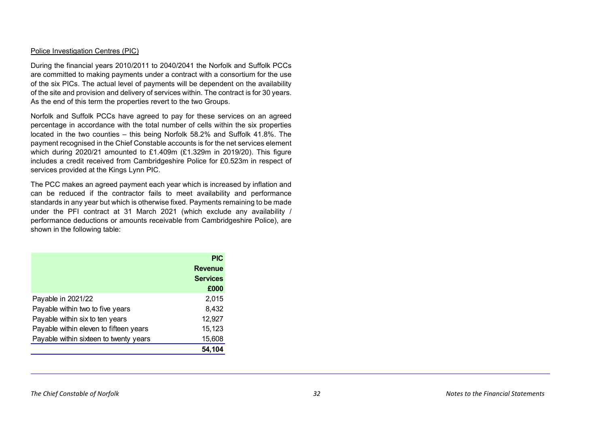## Police Investigation Centres (PIC)

During the financial years 2010/2011 to 2040/2041 the Norfolk and Suffolk PCCs are committed to making payments under a contract with a consortium for the use of the six PICs. The actual level of payments will be dependent on the availability of the site and provision and delivery of services within. The contract is for 30 years. As the end of this term the properties revert to the two Groups.

Norfolk and Suffolk PCCs have agreed to pay for these services on an agreed percentage in accordance with the total number of cells within the six properties located in the two counties – this being Norfolk 58.2% and Suffolk 41.8%. The payment recognised in the Chief Constable accounts is for the net services element which during 2020/21 amounted to £1.409m (£1.329m in 2019/20). This figure includes a credit received from Cambridgeshire Police for £0.523m in respect of services provided at the Kings Lynn PIC.

The PCC makes an agreed payment each year which is increased by inflation and can be reduced if the contractor fails to meet availability and performance standards in any year but which is otherwise fixed. Payments remaining to be made under the PFI contract at 31 March 2021 (which exclude any availability / performance deductions or amounts receivable from Cambridgeshire Police), are shown in the following table:

|                                        | <b>PIC</b>      |
|----------------------------------------|-----------------|
|                                        | <b>Revenue</b>  |
|                                        | <b>Services</b> |
|                                        | £000            |
| Payable in 2021/22                     | 2,015           |
| Payable within two to five years       | 8,432           |
| Payable within six to ten years        | 12,927          |
| Payable within eleven to fifteen years | 15,123          |
| Payable within sixteen to twenty years | 15,608          |
|                                        | 54.104          |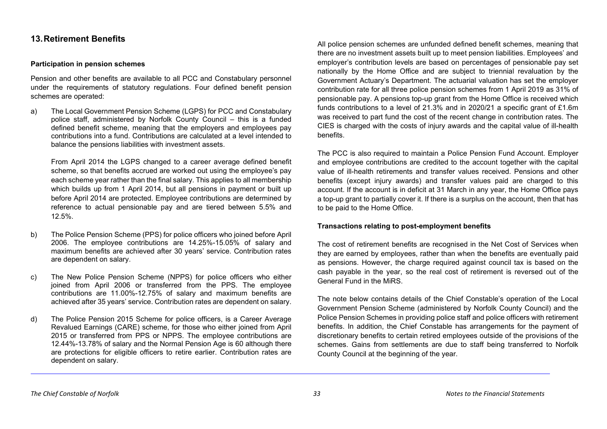# <span id="page-40-0"></span>**13.Retirement Benefits**

## **Participation in pension schemes**

Pension and other benefits are available to all PCC and Constabulary personnel under the requirements of statutory regulations. Four defined benefit pension schemes are operated:

a) The Local Government Pension Scheme (LGPS) for PCC and Constabulary police staff, administered by Norfolk County Council – this is a funded defined benefit scheme, meaning that the employers and employees pay contributions into a fund. Contributions are calculated at a level intended to balance the pensions liabilities with investment assets.

From April 2014 the LGPS changed to a career average defined benefit scheme, so that benefits accrued are worked out using the employee's pay each scheme year rather than the final salary. This applies to all membership which builds up from 1 April 2014, but all pensions in payment or built up before April 2014 are protected. Employee contributions are determined by reference to actual pensionable pay and are tiered between 5.5% and 12.5%.

- b) The Police Pension Scheme (PPS) for police officers who joined before April 2006. The employee contributions are 14.25%-15.05% of salary and maximum benefits are achieved after 30 years' service. Contribution rates are dependent on salary.
- c) The New Police Pension Scheme (NPPS) for police officers who either joined from April 2006 or transferred from the PPS. The employee contributions are 11.00%-12.75% of salary and maximum benefits are achieved after 35 years' service. Contribution rates are dependent on salary.
- d) The Police Pension 2015 Scheme for police officers, is a Career Average Revalued Earnings (CARE) scheme, for those who either joined from April 2015 or transferred from PPS or NPPS. The employee contributions are 12.44%-13.78% of salary and the Normal Pension Age is 60 although there are protections for eligible officers to retire earlier. Contribution rates are dependent on salary.

All police pension schemes are unfunded defined benefit schemes, meaning that there are no investment assets built up to meet pension liabilities. Employees' and employer's contribution levels are based on percentages of pensionable pay set nationally by the Home Office and are subject to triennial revaluation by the Government Actuary's Department. The actuarial valuation has set the employer contribution rate for all three police pension schemes from 1 April 2019 as 31% of pensionable pay. A pensions top-up grant from the Home Office is received which funds contributions to a level of 21.3% and in 2020/21 a specific grant of £1.6m was received to part fund the cost of the recent change in contribution rates. The CIES is charged with the costs of injury awards and the capital value of ill-health benefits.

The PCC is also required to maintain a Police Pension Fund Account. Employer and employee contributions are credited to the account together with the capital value of ill-health retirements and transfer values received. Pensions and other benefits (except injury awards) and transfer values paid are charged to this account. If the account is in deficit at 31 March in any year, the Home Office pays a top-up grant to partially cover it. If there is a surplus on the account, then that has to be paid to the Home Office.

#### **Transactions relating to post-employment benefits**

The cost of retirement benefits are recognised in the Net Cost of Services when they are earned by employees, rather than when the benefits are eventually paid as pensions. However, the charge required against council tax is based on the cash payable in the year, so the real cost of retirement is reversed out of the General Fund in the MiRS.

The note below contains details of the Chief Constable's operation of the Local Government Pension Scheme (administered by Norfolk County Council) and the Police Pension Schemes in providing police staff and police officers with retirement benefits. In addition, the Chief Constable has arrangements for the payment of discretionary benefits to certain retired employees outside of the provisions of the schemes. Gains from settlements are due to staff being transferred to Norfolk County Council at the beginning of the year.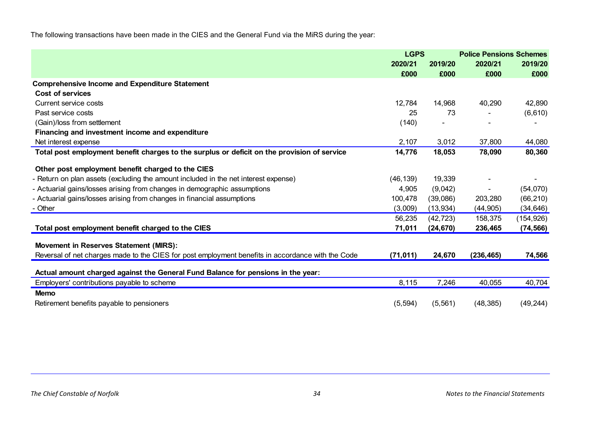The following transactions have been made in the CIES and the General Fund via the MiRS during the year:

|                                                                                                   | <b>LGPS</b> |           | <b>Police Pensions Schemes</b> |            |  |
|---------------------------------------------------------------------------------------------------|-------------|-----------|--------------------------------|------------|--|
|                                                                                                   | 2020/21     | 2019/20   | 2020/21                        | 2019/20    |  |
|                                                                                                   | £000        | £000      | £000                           | £000       |  |
| <b>Comprehensive Income and Expenditure Statement</b>                                             |             |           |                                |            |  |
| Cost of services                                                                                  |             |           |                                |            |  |
| Current service costs                                                                             | 12,784      | 14,968    | 40,290                         | 42,890     |  |
| Past service costs                                                                                | 25          | 73        |                                | (6,610)    |  |
| (Gain)/loss from settlement                                                                       | (140)       |           |                                |            |  |
| Financing and investment income and expenditure                                                   |             |           |                                |            |  |
| Net interest expense                                                                              | 2,107       | 3,012     | 37,800                         | 44,080     |  |
| Total post employment benefit charges to the surplus or deficit on the provision of service       | 14,776      | 18,053    | 78,090                         | 80,360     |  |
| Other post employment benefit charged to the CIES                                                 |             |           |                                |            |  |
| - Return on plan assets (excluding the amount included in the net interest expense)               | (46, 139)   | 19,339    |                                |            |  |
| - Actuarial gains/losses arising from changes in demographic assumptions                          | 4,905       | (9,042)   |                                | (54,070)   |  |
| - Actuarial gains/losses arising from changes in financial assumptions                            | 100,478     | (39,086)  | 203,280                        | (66, 210)  |  |
| - Other                                                                                           | (3,009)     | (13, 934) | (44, 905)                      | (34, 646)  |  |
|                                                                                                   | 56,235      | (42, 723) | 158,375                        | (154, 926) |  |
| Total post employment benefit charged to the CIES                                                 | 71,011      | (24, 670) | 236,465                        | (74, 566)  |  |
| <b>Movement in Reserves Statement (MIRS):</b>                                                     |             |           |                                |            |  |
| Reversal of net charges made to the CIES for post employment benefits in accordance with the Code | (71, 011)   | 24,670    | (236, 465)                     | 74,566     |  |
| Actual amount charged against the General Fund Balance for pensions in the year:                  |             |           |                                |            |  |
| Employers' contributions payable to scheme                                                        | 8,115       | 7,246     | 40,055                         | 40,704     |  |
| <b>Memo</b>                                                                                       |             |           |                                |            |  |
| Retirement benefits payable to pensioners                                                         | (5, 594)    | (5, 561)  | (48, 385)                      | (49, 244)  |  |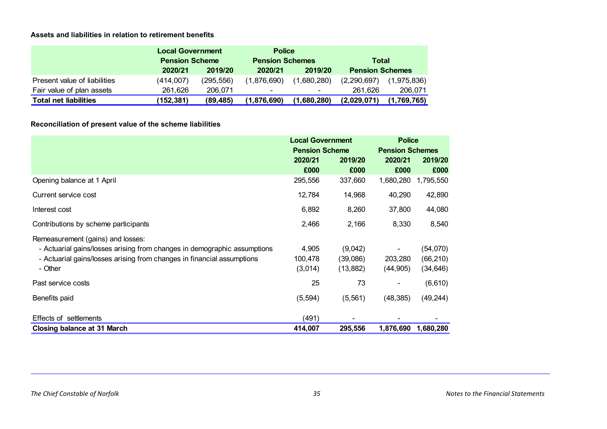# **Assets and liabilities in relation to retirement benefits**

|                              |           | <b>Local Government</b><br><b>Pension Scheme</b> |                | <b>Police</b>          |                        |              |
|------------------------------|-----------|--------------------------------------------------|----------------|------------------------|------------------------|--------------|
|                              |           |                                                  |                | <b>Pension Schemes</b> |                        | <b>Total</b> |
|                              | 2020/21   | 2019/20                                          | 2020/21        | 2019/20                | <b>Pension Schemes</b> |              |
| Present value of liabilities | (414,007) | (295.556)                                        | (1,876,690)    | (1,680,280)            | (2,290,697)            | (1,975,836)  |
| Fair value of plan assets    | 261.626   | 206.071                                          | $\blacksquare$ | $\blacksquare$         | 261.626                | 206.071      |
| <b>Total net liabilities</b> | (152,381) | (89, 485)                                        | (1,876,690)    | (1,680,280)            | (2,029,071)            | (1,769,765)  |

# **Reconciliation of present value of the scheme liabilities**

|                                                                          | <b>Local Government</b><br><b>Pension Scheme</b> |           | <b>Police</b>          |           |
|--------------------------------------------------------------------------|--------------------------------------------------|-----------|------------------------|-----------|
|                                                                          |                                                  |           | <b>Pension Schemes</b> |           |
|                                                                          | 2020/21                                          | 2019/20   | 2020/21                | 2019/20   |
|                                                                          | £000                                             | £000      | £000                   | £000      |
| Opening balance at 1 April                                               | 295,556                                          | 337,660   | 1,680,280              | 1,795,550 |
| Current service cost                                                     | 12,784                                           | 14,968    | 40,290                 | 42,890    |
| Interest cost                                                            | 6,892                                            | 8,260     | 37,800                 | 44,080    |
| Contributions by scheme participants                                     | 2,466                                            | 2,166     | 8,330                  | 8,540     |
| Remeasurement (gains) and losses:                                        |                                                  |           |                        |           |
| - Actuarial gains/losses arising from changes in demographic assumptions | 4,905                                            | (9,042)   |                        | (54,070)  |
| - Actuarial gains/losses arising from changes in financial assumptions   | 100,478                                          | (39,086)  | 203,280                | (66, 210) |
| - Other                                                                  | (3,014)                                          | (13, 882) | (44, 905)              | (34, 646) |
| Past service costs                                                       | 25                                               | 73        |                        | (6, 610)  |
| Benefits paid                                                            | (5, 594)                                         | (5, 561)  | (48, 385)              | (49, 244) |
| Effects of settlements                                                   | (491)                                            |           |                        |           |
| <b>Closing balance at 31 March</b>                                       | 414,007                                          | 295,556   | 1,876,690              | 1,680,280 |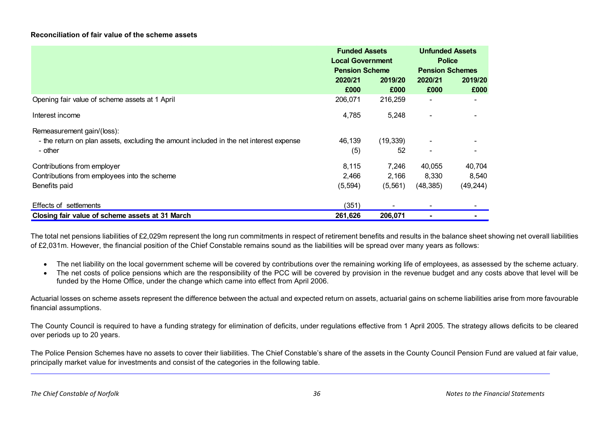# **Reconciliation of fair value of the scheme assets**

|                                                                                        | <b>Funded Assets</b><br><b>Local Government</b><br><b>Pension Scheme</b> |           | <b>Unfunded Assets</b><br><b>Police</b><br><b>Pension Schemes</b> |           |
|----------------------------------------------------------------------------------------|--------------------------------------------------------------------------|-----------|-------------------------------------------------------------------|-----------|
|                                                                                        |                                                                          |           |                                                                   |           |
|                                                                                        | 2020/21                                                                  | 2019/20   | 2020/21                                                           | 2019/20   |
|                                                                                        | £000                                                                     | £000      | £000                                                              | £000      |
| Opening fair value of scheme assets at 1 April                                         | 206,071                                                                  | 216,259   |                                                                   |           |
| Interest income                                                                        | 4,785                                                                    | 5,248     |                                                                   |           |
| Remeasurement gain/(loss):                                                             |                                                                          |           |                                                                   |           |
| - the return on plan assets, excluding the amount included in the net interest expense | 46,139                                                                   | (19, 339) |                                                                   |           |
| - other                                                                                | (5)                                                                      | 52        | $\overline{\phantom{0}}$                                          |           |
| Contributions from employer                                                            | 8,115                                                                    | 7,246     | 40,055                                                            | 40,704    |
| Contributions from employees into the scheme                                           | 2,466                                                                    | 2,166     | 8,330                                                             | 8,540     |
| Benefits paid                                                                          | (5, 594)                                                                 | (5, 561)  | (48, 385)                                                         | (49, 244) |
| Effects of settlements                                                                 | (351)                                                                    |           |                                                                   |           |
| Closing fair value of scheme assets at 31 March                                        | 261,626                                                                  | 206,071   |                                                                   |           |

The total net pensions liabilities of £2,029m represent the long run commitments in respect of retirement benefits and results in the balance sheet showing net overall liabilities of £2,031m. However, the financial position of the Chief Constable remains sound as the liabilities will be spread over many years as follows:

- The net liability on the local government scheme will be covered by contributions over the remaining working life of employees, as assessed by the scheme actuary.
- The net costs of police pensions which are the responsibility of the PCC will be covered by provision in the revenue budget and any costs above that level will be funded by the Home Office, under the change which came into effect from April 2006.

Actuarial losses on scheme assets represent the difference between the actual and expected return on assets, actuarial gains on scheme liabilities arise from more favourable financial assumptions.

The County Council is required to have a funding strategy for elimination of deficits, under regulations effective from 1 April 2005. The strategy allows deficits to be cleared over periods up to 20 years.

The Police Pension Schemes have no assets to cover their liabilities. The Chief Constable's share of the assets in the County Council Pension Fund are valued at fair value, principally market value for investments and consist of the categories in the following table.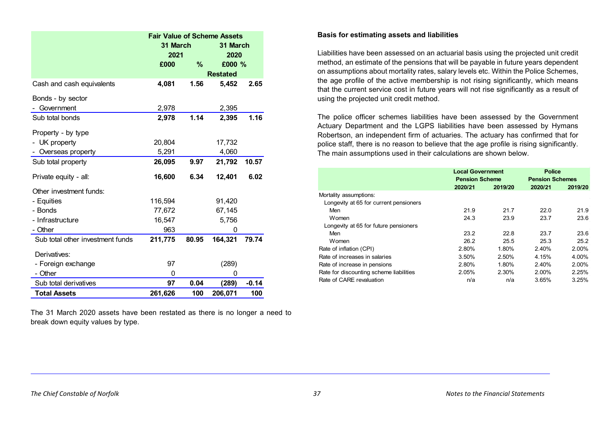|                                  | <b>Fair Value of Scheme Assets</b> |       |                 |         |  |
|----------------------------------|------------------------------------|-------|-----------------|---------|--|
|                                  | 31 March                           |       | 31 March        |         |  |
|                                  | 2021                               |       | 2020            |         |  |
|                                  | £000                               | $\%$  | £000 %          |         |  |
|                                  |                                    |       | <b>Restated</b> |         |  |
| Cash and cash equivalents        | 4,081                              | 1.56  | 5,452           | 2.65    |  |
| Bonds - by sector                |                                    |       |                 |         |  |
| Government                       | 2,978                              |       | 2,395           |         |  |
| Sub total bonds                  | 2,978                              | 1.14  | 2,395           | 1.16    |  |
| Property - by type               |                                    |       |                 |         |  |
| - UK property                    | 20,804                             |       | 17,732          |         |  |
| Overseas property                | 5,291                              |       | 4,060           |         |  |
| Sub total property               | 26,095                             | 9.97  | 21,792          | 10.57   |  |
| Private equity - all:            | 16,600                             | 6.34  | 12,401          | 6.02    |  |
| Other investment funds:          |                                    |       |                 |         |  |
| - Equities                       | 116,594                            |       | 91,420          |         |  |
| - Bonds                          | 77,672                             |       | 67,145          |         |  |
| - Infrastructure                 | 16,547                             |       | 5,756           |         |  |
| - Other                          | 963                                |       | 0               |         |  |
| Sub total other investment funds | 211,775                            | 80.95 | 164,321         | 79.74   |  |
| Derivatives:                     |                                    |       |                 |         |  |
| - Foreign exchange               | 97                                 |       | (289)           |         |  |
| - Other                          | 0                                  |       | 0               |         |  |
| Sub total derivatives            | 97                                 | 0.04  | (289)           | $-0.14$ |  |
| <b>Total Assets</b>              | 261,626                            | 100   | 206,071         | 100     |  |

The 31 March 2020 assets have been restated as there is no longer a need to break down equity values by type.

#### **Basis for estimating assets and liabilities**

Liabilities have been assessed on an actuarial basis using the projected unit credit method, an estimate of the pensions that will be payable in future years dependent on assumptions about mortality rates, salary levels etc. Within the Police Schemes, the age profile of the active membership is not rising significantly, which means that the current service cost in future years will not rise significantly as a result of using the projected unit credit method.

The police officer schemes liabilities have been assessed by the Government Actuary Department and the LGPS liabilities have been assessed by Hymans Robertson, an independent firm of actuaries. The actuary has confirmed that for police staff, there is no reason to believe that the age profile is rising significantly. The main assumptions used in their calculations are shown below.

|                                         | <b>Local Government</b><br><b>Pension Scheme</b> |         | <b>Police</b><br><b>Pension Schemes</b> |         |
|-----------------------------------------|--------------------------------------------------|---------|-----------------------------------------|---------|
|                                         | 2020/21                                          | 2019/20 | 2020/21                                 | 2019/20 |
| Mortality assumptions:                  |                                                  |         |                                         |         |
| Longevity at 65 for current pensioners  |                                                  |         |                                         |         |
| Men                                     | 21.9                                             | 21.7    | 22.0                                    | 21.9    |
| Women                                   | 24.3                                             | 23.9    | 23.7                                    | 23.6    |
| Longevity at 65 for future pensioners   |                                                  |         |                                         |         |
| Men                                     | 23.2                                             | 22 B    | 23.7                                    | 23.6    |
| Women                                   | 26.2                                             | 25.5    | 25.3                                    | 25.2    |
| Rate of inflation (CPI)                 | 2.80%                                            | 1.80%   | 2.40%                                   | 2.00%   |
| Rate of increases in salaries           | 3.50%                                            | 2.50%   | 4.15%                                   | 4.00%   |
| Rate of increase in pensions            | 2.80%                                            | 1.80%   | 2.40%                                   | 2.00%   |
| Rate for discounting scheme liabilities | 2.05%                                            | 2.30%   | 2.00%                                   | 2.25%   |
| Rate of CARE revaluation                | n/a                                              | n/a     | 3.65%                                   | 3.25%   |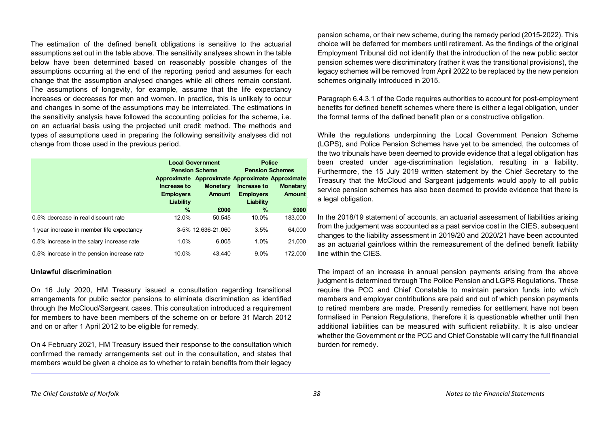The estimation of the defined benefit obligations is sensitive to the actuarial assumptions set out in the table above. The sensitivity analyses shown in the table below have been determined based on reasonably possible changes of the assumptions occurring at the end of the reporting period and assumes for each change that the assumption analysed changes while all others remain constant. The assumptions of longevity, for example, assume that the life expectancy increases or decreases for men and women. In practice, this is unlikely to occur and changes in some of the assumptions may be interrelated. The estimations in the sensitivity analysis have followed the accounting policies for the scheme, i.e. on an actuarial basis using the projected unit credit method. The methods and types of assumptions used in preparing the following sensitivity analyses did not change from those used in the previous period.

|                                            | Increase to<br><b>Employers</b><br>Liability | <b>Local Government</b><br><b>Pension Scheme</b><br>Approximate Approximate Approximate Approximate<br><b>Monetary</b><br><b>Amount</b> | <b>Police</b><br><b>Pension Schemes</b><br>Increase to<br><b>Employers</b><br>Liability | <b>Monetary</b><br><b>Amount</b> |
|--------------------------------------------|----------------------------------------------|-----------------------------------------------------------------------------------------------------------------------------------------|-----------------------------------------------------------------------------------------|----------------------------------|
|                                            | $\%$                                         | £000                                                                                                                                    | $\%$                                                                                    | £000                             |
| 0.5% decrease in real discount rate        | 12.0%                                        | 50.545                                                                                                                                  | 10.0%                                                                                   | 183,000                          |
| 1 year increase in member life expectancy  |                                              | 3-5% 12.636-21.060                                                                                                                      | 3.5%                                                                                    | 64,000                           |
| 0.5% increase in the salary increase rate  | 1.0%                                         | 6.005                                                                                                                                   | 1.0%                                                                                    | 21,000                           |
| 0.5% increase in the pension increase rate | 10.0%                                        | 43,440                                                                                                                                  | 9.0%                                                                                    | 172,000                          |

#### **Unlawful discrimination**

On 16 July 2020, HM Treasury issued a consultation regarding transitional arrangements for public sector pensions to eliminate discrimination as identified through the McCloud/Sargeant cases. This consultation introduced a requirement for members to have been members of the scheme on or before 31 March 2012 and on or after 1 April 2012 to be eligible for remedy.

On 4 February 2021, HM Treasury issued their response to the consultation which confirmed the remedy arrangements set out in the consultation, and states that members would be given a choice as to whether to retain benefits from their legacy

pension scheme, or their new scheme, during the remedy period (2015-2022). This choice will be deferred for members until retirement. As the findings of the original Employment Tribunal did not identify that the introduction of the new public sector pension schemes were discriminatory (rather it was the transitional provisions), the legacy schemes will be removed from April 2022 to be replaced by the new pension schemes originally introduced in 2015.

Paragraph 6.4.3.1 of the Code requires authorities to account for post-employment benefits for defined benefit schemes where there is either a legal obligation, under the formal terms of the defined benefit plan or a constructive obligation.

While the regulations underpinning the Local Government Pension Scheme (LGPS), and Police Pension Schemes have yet to be amended, the outcomes of the two tribunals have been deemed to provide evidence that a legal obligation has been created under age-discrimination legislation, resulting in a liability. Furthermore, the 15 July 2019 written statement by the Chief Secretary to the Treasury that the McCloud and Sargeant judgements would apply to all public service pension schemes has also been deemed to provide evidence that there is a legal obligation.

In the 2018/19 statement of accounts, an actuarial assessment of liabilities arising from the judgement was accounted as a past service cost in the CIES, subsequent changes to the liability assessment in 2019/20 and 2020/21 have been accounted as an actuarial gain/loss within the remeasurement of the defined benefit liability line within the CIFS

The impact of an increase in annual pension payments arising from the above judgment is determined through The Police Pension and LGPS Regulations. These require the PCC and Chief Constable to maintain pension funds into which members and employer contributions are paid and out of which pension payments to retired members are made. Presently remedies for settlement have not been formalised in Pension Regulations, therefore it is questionable whether until then additional liabilities can be measured with sufficient reliability. It is also unclear whether the Government or the PCC and Chief Constable will carry the full financial burden for remedy.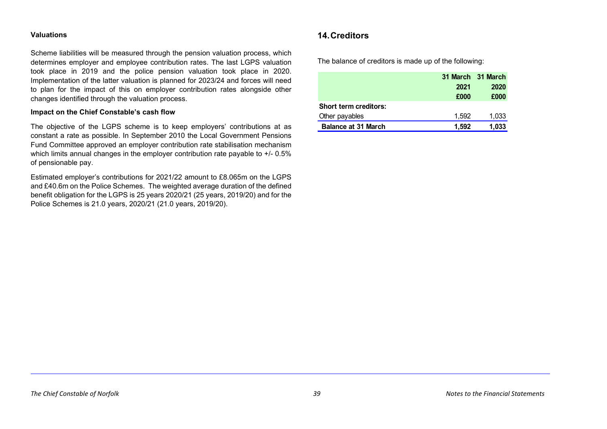#### **Valuations**

Scheme liabilities will be measured through the pension valuation process, which determines employer and employee contribution rates. The last LGPS valuation took place in 2019 and the police pension valuation took place in 2020. Implementation of the latter valuation is planned for 2023/24 and forces will need to plan for the impact of this on employer contribution rates alongside other changes identified through the valuation process.

#### **Impact on the Chief Constable's cash flow**

The objective of the LGPS scheme is to keep employers' contributions at as constant a rate as possible. In September 2010 the Local Government Pensions Fund Committee approved an employer contribution rate stabilisation mechanism which limits annual changes in the employer contribution rate payable to  $+/-0.5\%$ of pensionable pay.

Estimated employer's contributions for 2021/22 amount to £8.065m on the LGPS and £40.6m on the Police Schemes. The weighted average duration of the defined benefit obligation for the LGPS is 25 years 2020/21 (25 years, 2019/20) and for the Police Schemes is 21.0 years, 2020/21 (21.0 years, 2019/20).

# <span id="page-46-0"></span>**14.Creditors**

The balance of creditors is made up of the following:

|                              | 31 March 31 March |       |  |
|------------------------------|-------------------|-------|--|
|                              | 2021              | 2020  |  |
|                              | £000              | £000  |  |
| <b>Short term creditors:</b> |                   |       |  |
| Other payables               | 1.592             | 1,033 |  |
| <b>Balance at 31 March</b>   | 1.592             | 1,033 |  |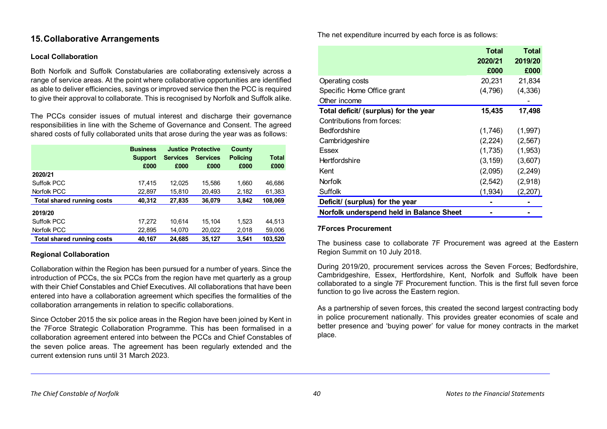# <span id="page-47-0"></span>**15.Collaborative Arrangements**

#### **Local Collaboration**

Both Norfolk and Suffolk Constabularies are collaborating extensively across a range of service areas. At the point where collaborative opportunities are identified as able to deliver efficiencies, savings or improved service then the PCC is required to give their approval to collaborate. This is recognised by Norfolk and Suffolk alike.

The PCCs consider issues of mutual interest and discharge their governance responsibilities in line with the Scheme of Governance and Consent. The agreed shared costs of fully collaborated units that arose during the year was as follows:

|                                   | <b>Business</b> | <b>Justice Protective</b> |                 | County          |              |
|-----------------------------------|-----------------|---------------------------|-----------------|-----------------|--------------|
|                                   | <b>Support</b>  | <b>Services</b>           | <b>Services</b> | <b>Policing</b> | <b>Total</b> |
|                                   | £000            | £000                      | £000            | £000            | £000         |
| 2020/21                           |                 |                           |                 |                 |              |
| Suffolk PCC                       | 17,415          | 12.025                    | 15,586          | 1,660           | 46,686       |
| Norfolk PCC                       | 22,897          | 15,810                    | 20,493          | 2,182           | 61,383       |
| <b>Total shared running costs</b> | 40,312          | 27,835                    | 36,079          | 3,842           | 108,069      |
| 2019/20                           |                 |                           |                 |                 |              |
| Suffolk PCC                       | 17,272          | 10.614                    | 15.104          | 1.523           | 44.513       |
| Norfolk PCC                       | 22,895          | 14.070                    | 20,022          | 2,018           | 59,006       |
| <b>Total shared running costs</b> | 40,167          | 24.685                    | 35,127          | 3.541           | 103,520      |

# **Regional Collaboration**

Collaboration within the Region has been pursued for a number of years. Since the introduction of PCCs, the six PCCs from the region have met quarterly as a group with their Chief Constables and Chief Executives. All collaborations that have been entered into have a collaboration agreement which specifies the formalities of the collaboration arrangements in relation to specific collaborations.

Since October 2015 the six police areas in the Region have been joined by Kent in the 7Force Strategic Collaboration Programme. This has been formalised in a collaboration agreement entered into between the PCCs and Chief Constables of the seven police areas. The agreement has been regularly extended and the current extension runs until 31 March 2023.

The net expenditure incurred by each force is as follows:

|                                          | <b>Total</b><br>2020/21<br>£000 | <b>Total</b><br>2019/20<br>£000 |
|------------------------------------------|---------------------------------|---------------------------------|
| Operating costs                          | 20,231                          | 21,834                          |
| Specific Home Office grant               | (4,796)                         | (4,336)                         |
| Other income                             |                                 |                                 |
| Total deficit/ (surplus) for the year    | 15,435                          | 17,498                          |
| Contributions from forces:               |                                 |                                 |
| Bedfordshire                             | (1,746)                         | (1,997)                         |
| Cambridgeshire                           | (2,224)                         | (2, 567)                        |
| Essex                                    | (1,735)                         | (1,953)                         |
| Hertfordshire                            | (3, 159)                        | (3,607)                         |
| Kent                                     | (2,095)                         | (2, 249)                        |
| <b>Norfolk</b>                           | (2, 542)                        | (2,918)                         |
| Suffolk                                  | (1,934)                         | (2,207)                         |
| Deficit/ (surplus) for the year          |                                 |                                 |
| Norfolk underspend held in Balance Sheet |                                 |                                 |

#### **7Forces Procurement**

The business case to collaborate 7F Procurement was agreed at the Eastern Region Summit on 10 July 2018.

During 2019/20, procurement services across the Seven Forces; Bedfordshire, Cambridgeshire, Essex, Hertfordshire, Kent, Norfolk and Suffolk have been collaborated to a single 7F Procurement function. This is the first full seven force function to go live across the Eastern region.

As a partnership of seven forces, this created the second largest contracting body in police procurement nationally. This provides greater economies of scale and better presence and 'buying power' for value for money contracts in the market place.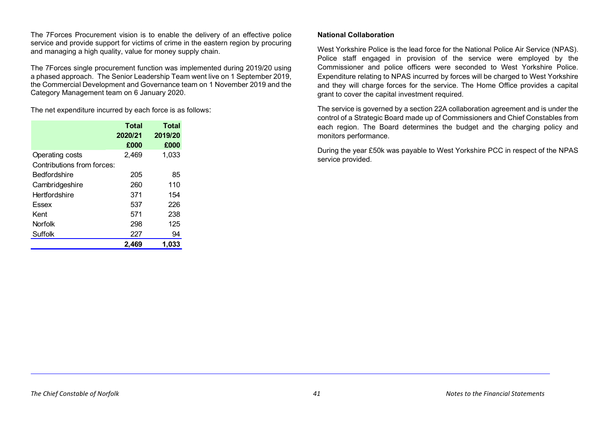The 7Forces Procurement vision is to enable the delivery of an effective police service and provide support for victims of crime in the eastern region by procuring and managing a high quality, value for money supply chain.

The 7Forces single procurement function was implemented during 2019/20 using a phased approach. The Senior Leadership Team went live on 1 September 2019, the Commercial Development and Governance team on 1 November 2019 and the Category Management team on 6 January 2020.

The net expenditure incurred by each force is as follows:

|                            | <b>Total</b> | <b>Total</b> |
|----------------------------|--------------|--------------|
|                            | 2020/21      | 2019/20      |
|                            | £000         | £000         |
| Operating costs            | 2,469        | 1,033        |
| Contributions from forces: |              |              |
| Bedfordshire               | 205          | 85           |
| Cambridgeshire             | 260          | 110          |
| Hertfordshire              | 371          | 154          |
| Essex                      | 537          | 226          |
| Kent                       | 571          | 238          |
| <b>Norfolk</b>             | 298          | 125          |
| Suffolk                    | 227          | 94           |
|                            | 2,469        | 1,033        |

## **National Collaboration**

West Yorkshire Police is the lead force for the National Police Air Service (NPAS). Police staff engaged in provision of the service were employed by the Commissioner and police officers were seconded to West Yorkshire Police. Expenditure relating to NPAS incurred by forces will be charged to West Yorkshire and they will charge forces for the service. The Home Office provides a capital grant to cover the capital investment required.

The service is governed by a section 22A collaboration agreement and is under the control of a Strategic Board made up of Commissioners and Chief Constables from each region. The Board determines the budget and the charging policy and monitors performance.

During the year £50k was payable to West Yorkshire PCC in respect of the NPAS service provided.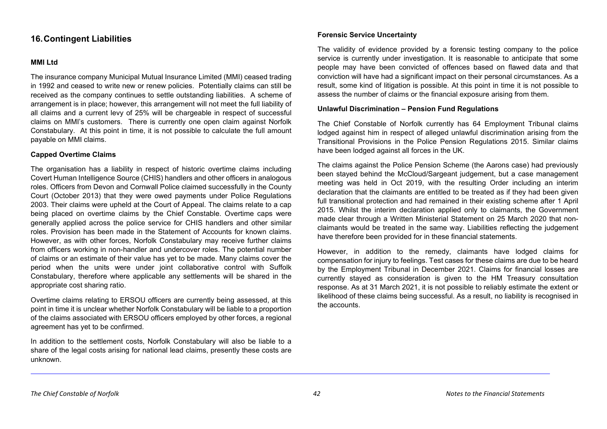# <span id="page-49-0"></span>**16.Contingent Liabilities**

#### **MMI Ltd**

The insurance company Municipal Mutual Insurance Limited (MMI) ceased trading in 1992 and ceased to write new or renew policies. Potentially claims can still be received as the company continues to settle outstanding liabilities. A scheme of arrangement is in place; however, this arrangement will not meet the full liability of all claims and a current levy of 25% will be chargeable in respect of successful claims on MMI's customers. There is currently one open claim against Norfolk Constabulary. At this point in time, it is not possible to calculate the full amount payable on MMI claims.

#### **Capped Overtime Claims**

The organisation has a liability in respect of historic overtime claims including Covert Human Intelligence Source (CHIS) handlers and other officers in analogous roles. Officers from Devon and Cornwall Police claimed successfully in the County Court (October 2013) that they were owed payments under Police Regulations 2003. Their claims were upheld at the Court of Appeal. The claims relate to a cap being placed on overtime claims by the Chief Constable. Overtime caps were generally applied across the police service for CHIS handlers and other similar roles. Provision has been made in the Statement of Accounts for known claims. However, as with other forces, Norfolk Constabulary may receive further claims from officers working in non-handler and undercover roles. The potential number of claims or an estimate of their value has yet to be made. Many claims cover the period when the units were under joint collaborative control with Suffolk Constabulary, therefore where applicable any settlements will be shared in the appropriate cost sharing ratio.

Overtime claims relating to ERSOU officers are currently being assessed, at this point in time it is unclear whether Norfolk Constabulary will be liable to a proportion of the claims associated with ERSOU officers employed by other forces, a regional agreement has yet to be confirmed.

In addition to the settlement costs, Norfolk Constabulary will also be liable to a share of the legal costs arising for national lead claims, presently these costs are unknown.

## **Forensic Service Uncertainty**

The validity of evidence provided by a forensic testing company to the police service is currently under investigation. It is reasonable to anticipate that some people may have been convicted of offences based on flawed data and that conviction will have had a significant impact on their personal circumstances. As a result, some kind of litigation is possible. At this point in time it is not possible to assess the number of claims or the financial exposure arising from them.

#### **Unlawful Discrimination – Pension Fund Regulations**

The Chief Constable of Norfolk currently has 64 Employment Tribunal claims lodged against him in respect of alleged unlawful discrimination arising from the Transitional Provisions in the Police Pension Regulations 2015. Similar claims have been lodged against all forces in the UK.

The claims against the Police Pension Scheme (the Aarons case) had previously been stayed behind the McCloud/Sargeant judgement, but a case management meeting was held in Oct 2019, with the resulting Order including an interim declaration that the claimants are entitled to be treated as if they had been given full transitional protection and had remained in their existing scheme after 1 April 2015. Whilst the interim declaration applied only to claimants, the Government made clear through a Written Ministerial Statement on 25 March 2020 that nonclaimants would be treated in the same way. Liabilities reflecting the judgement have therefore been provided for in these financial statements.

However, in addition to the remedy, claimants have lodged claims for compensation for injury to feelings. Test cases for these claims are due to be heard by the Employment Tribunal in December 2021. Claims for financial losses are currently stayed as consideration is given to the HM Treasury consultation response. As at 31 March 2021, it is not possible to reliably estimate the extent or likelihood of these claims being successful. As a result, no liability is recognised in the accounts.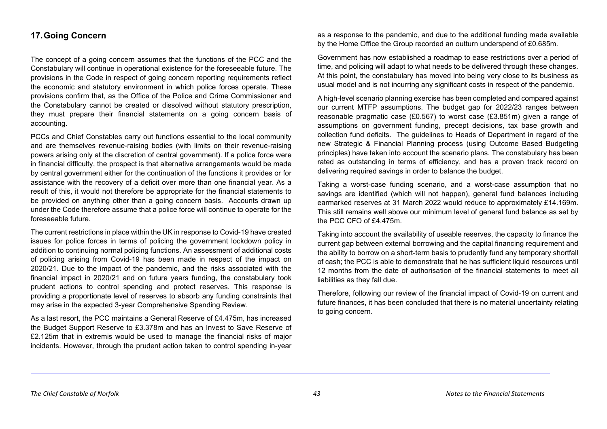# <span id="page-50-0"></span>**17.Going Concern**

The concept of a going concern assumes that the functions of the PCC and the Constabulary will continue in operational existence for the foreseeable future. The provisions in the Code in respect of going concern reporting requirements reflect the economic and statutory environment in which police forces operate. These provisions confirm that, as the Office of the Police and Crime Commissioner and the Constabulary cannot be created or dissolved without statutory prescription, they must prepare their financial statements on a going concern basis of accounting.

PCCs and Chief Constables carry out functions essential to the local community and are themselves revenue-raising bodies (with limits on their revenue-raising powers arising only at the discretion of central government). If a police force were in financial difficulty, the prospect is that alternative arrangements would be made by central government either for the continuation of the functions it provides or for assistance with the recovery of a deficit over more than one financial year. As a result of this, it would not therefore be appropriate for the financial statements to be provided on anything other than a going concern basis. Accounts drawn up under the Code therefore assume that a police force will continue to operate for the foreseeable future.

The current restrictions in place within the UK in response to Covid-19 have created issues for police forces in terms of policing the government lockdown policy in addition to continuing normal policing functions. An assessment of additional costs of policing arising from Covid-19 has been made in respect of the impact on 2020/21. Due to the impact of the pandemic, and the risks associated with the financial impact in 2020/21 and on future years funding, the constabulary took prudent actions to control spending and protect reserves. This response is providing a proportionate level of reserves to absorb any funding constraints that may arise in the expected 3-year Comprehensive Spending Review.

As a last resort, the PCC maintains a General Reserve of £4.475m, has increased the Budget Support Reserve to £3.378m and has an Invest to Save Reserve of £2.125m that in extremis would be used to manage the financial risks of major incidents. However, through the prudent action taken to control spending in-year as a response to the pandemic, and due to the additional funding made available by the Home Office the Group recorded an outturn underspend of £0.685m.

Government has now established a roadmap to ease restrictions over a period of time, and policing will adapt to what needs to be delivered through these changes. At this point, the constabulary has moved into being very close to its business as usual model and is not incurring any significant costs in respect of the pandemic.

A high-level scenario planning exercise has been completed and compared against our current MTFP assumptions. The budget gap for 2022/23 ranges between reasonable pragmatic case (£0.567) to worst case (£3.851m) given a range of assumptions on government funding, precept decisions, tax base growth and collection fund deficits. The guidelines to Heads of Department in regard of the new Strategic & Financial Planning process (using Outcome Based Budgeting principles) have taken into account the scenario plans. The constabulary has been rated as outstanding in terms of efficiency, and has a proven track record on delivering required savings in order to balance the budget.

Taking a worst-case funding scenario, and a worst-case assumption that no savings are identified (which will not happen), general fund balances including earmarked reserves at 31 March 2022 would reduce to approximately £14.169m. This still remains well above our minimum level of general fund balance as set by the PCC CFO of £4.475m.

Taking into account the availability of useable reserves, the capacity to finance the current gap between external borrowing and the capital financing requirement and the ability to borrow on a short-term basis to prudently fund any temporary shortfall of cash; the PCC is able to demonstrate that he has sufficient liquid resources until 12 months from the date of authorisation of the financial statements to meet all liabilities as they fall due.

Therefore, following our review of the financial impact of Covid-19 on current and future finances, it has been concluded that there is no material uncertainty relating to going concern.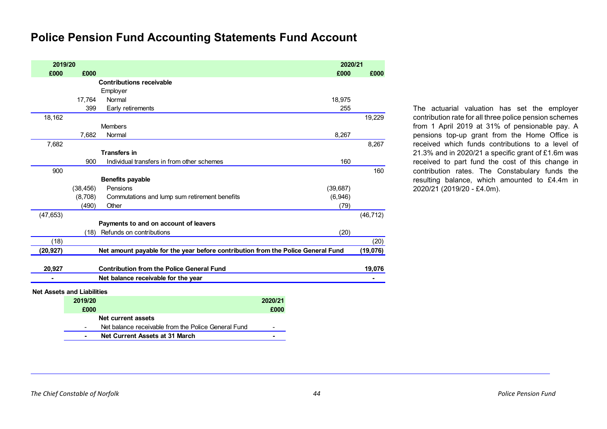# **Police Pension Fund Accounting Statements Fund Account**

| 2019/20   |                                   |                                                                                  |         | 2020/21   |           |
|-----------|-----------------------------------|----------------------------------------------------------------------------------|---------|-----------|-----------|
| £000      | £000                              |                                                                                  |         | £000      | £000      |
|           |                                   | <b>Contributions receivable</b>                                                  |         |           |           |
|           |                                   | Employer                                                                         |         |           |           |
|           | 17,764                            | Normal                                                                           |         | 18,975    |           |
|           | 399                               | Early retirements                                                                |         | 255       |           |
| 18,162    |                                   |                                                                                  |         |           | 19,229    |
|           |                                   | <b>Members</b>                                                                   |         |           |           |
|           | 7,682                             | Normal                                                                           |         | 8,267     |           |
| 7,682     |                                   |                                                                                  |         |           | 8,267     |
|           |                                   | <b>Transfers in</b>                                                              |         |           |           |
|           | 900                               | Individual transfers in from other schemes                                       |         | 160       |           |
| 900       |                                   |                                                                                  |         |           | 160       |
|           |                                   | <b>Benefits payable</b>                                                          |         |           |           |
|           | (38, 456)                         | Pensions                                                                         |         | (39, 687) |           |
|           | (8,708)                           | Commutations and lump sum retirement benefits                                    |         | (6,946)   |           |
|           | (490)                             | Other                                                                            |         | (79)      |           |
| (47, 653) |                                   |                                                                                  |         |           | (46, 712) |
|           |                                   | Payments to and on account of leavers                                            |         |           |           |
|           | (18)                              | Refunds on contributions                                                         |         | (20)      |           |
| (18)      |                                   |                                                                                  |         |           | (20)      |
| (20,927)  |                                   | Net amount payable for the year before contribution from the Police General Fund |         |           | (19,076)  |
| 20,927    |                                   | <b>Contribution from the Police General Fund</b>                                 |         |           | 19,076    |
|           |                                   | Net balance receivable for the year                                              |         |           |           |
|           |                                   |                                                                                  |         |           |           |
|           | <b>Net Assets and Liabilities</b> |                                                                                  |         |           |           |
|           | 2019/20                           |                                                                                  | 2020/21 |           |           |
|           | £000                              |                                                                                  | £000    |           |           |
|           |                                   | <b>Net current assets</b>                                                        |         |           |           |
|           |                                   | Net balance receivable from the Police General Fund                              |         |           |           |
|           | -                                 | <b>Net Current Assets at 31 March</b>                                            |         |           |           |

The actuarial valuation has set the employer contribution rate for all three police pension schemes from 1 April 2019 at 31% of pensionable pay. A pensions top-up grant from the Home Office is received which funds contributions to a level of 21.3% and in 2020/21 a specific grant of £1.6m was received to part fund the cost of this change in contribution rates. The Constabulary funds the resulting balance, which amounted to £4.4m in 2020/21 (2019/20 - £4.0m).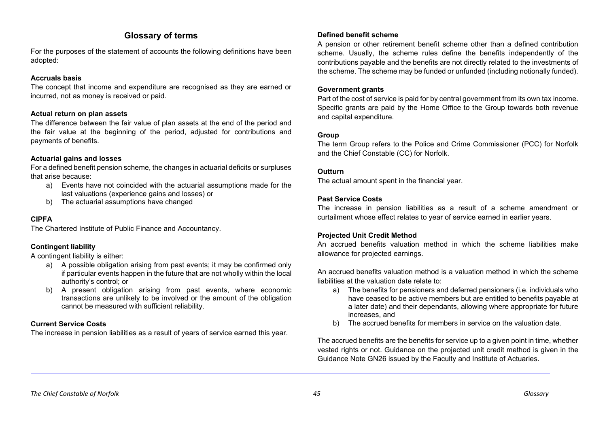# **Glossary of terms**

For the purposes of the statement of accounts the following definitions have been adopted:

# **Accruals basis**

The concept that income and expenditure are recognised as they are earned or incurred, not as money is received or paid.

# **Actual return on plan assets**

The difference between the fair value of plan assets at the end of the period and the fair value at the beginning of the period, adjusted for contributions and payments of benefits.

# **Actuarial gains and losses**

For a defined benefit pension scheme, the changes in actuarial deficits or surpluses that arise because:

- a) Events have not coincided with the actuarial assumptions made for the last valuations (experience gains and losses) or
- b) The actuarial assumptions have changed

# **CIPFA**

The Chartered Institute of Public Finance and Accountancy.

# **Contingent liability**

A contingent liability is either:

- a) A possible obligation arising from past events; it may be confirmed only if particular events happen in the future that are not wholly within the local authority's control; or
- b) A present obligation arising from past events, where economic transactions are unlikely to be involved or the amount of the obligation cannot be measured with sufficient reliability.

# **Current Service Costs**

The increase in pension liabilities as a result of years of service earned this year.

# **Defined benefit scheme**

A pension or other retirement benefit scheme other than a defined contribution scheme. Usually, the scheme rules define the benefits independently of the contributions payable and the benefits are not directly related to the investments of the scheme. The scheme may be funded or unfunded (including notionally funded).

## **Government grants**

Part of the cost of service is paid for by central government from its own tax income. Specific grants are paid by the Home Office to the Group towards both revenue and capital expenditure.

# **Group**

The term Group refers to the Police and Crime Commissioner (PCC) for Norfolk and the Chief Constable (CC) for Norfolk.

## **Outturn**

The actual amount spent in the financial year.

# **Past Service Costs**

The increase in pension liabilities as a result of a scheme amendment or curtailment whose effect relates to year of service earned in earlier years.

# **Projected Unit Credit Method**

An accrued benefits valuation method in which the scheme liabilities make allowance for projected earnings.

An accrued benefits valuation method is a valuation method in which the scheme liabilities at the valuation date relate to:

- a) The benefits for pensioners and deferred pensioners (i.e. individuals who have ceased to be active members but are entitled to benefits payable at a later date) and their dependants, allowing where appropriate for future increases, and
- b) The accrued benefits for members in service on the valuation date.

The accrued benefits are the benefits for service up to a given point in time, whether vested rights or not. Guidance on the projected unit credit method is given in the Guidance Note GN26 issued by the Faculty and Institute of Actuaries.